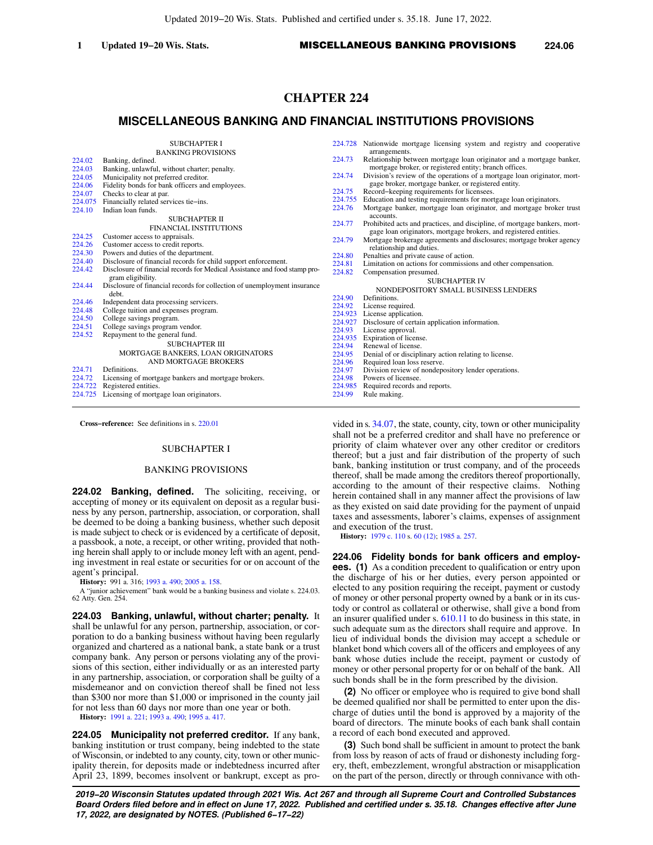# **CHAPTER 224**

# **MISCELLANEOUS BANKING AND FINANCIAL INSTITUTIONS PROVISIONS**

|         | <b>SUBCHAPTER I</b>                                                        |         | 224.728 Nationwide mortgage licensing system and registry and cooperative |
|---------|----------------------------------------------------------------------------|---------|---------------------------------------------------------------------------|
|         | <b>BANKING PROVISIONS</b>                                                  |         | arrangements.                                                             |
| 224.02  | Banking, defined.                                                          | 224.73  | Relationship between mortgage loan originator and a mortgage banker,      |
| 224.03  | Banking, unlawful, without charter; penalty.                               |         | mortgage broker, or registered entity; branch offices.                    |
| 224.05  | Municipality not preferred creditor.                                       | 224.74  | Division's review of the operations of a mortgage loan originator, mort-  |
| 224.06  | Fidelity bonds for bank officers and employees.                            |         | gage broker, mortgage banker, or registered entity.                       |
| 224.07  | Checks to clear at par.                                                    | 224.75  | Record-keeping requirements for licensees.                                |
| 224.075 | Financially related services tie-ins.                                      | 224,755 | Education and testing requirements for mortgage loan originators.         |
| 224.10  | Indian loan funds.                                                         | 224.76  | Mortgage banker, mortgage loan originator, and mortgage broker trust      |
|         | <b>SUBCHAPTER II</b>                                                       |         | accounts.                                                                 |
|         | <b>FINANCIAL INSTITUTIONS</b>                                              | 224.77  | Prohibited acts and practices, and discipline, of mortgage bankers, mort- |
| 224.25  | Customer access to appraisals.                                             |         | gage loan originators, mortgage brokers, and registered entities.         |
| 224.26  | Customer access to credit reports.                                         | 224.79  | Mortgage brokerage agreements and disclosures; mortgage broker agency     |
| 224.30  | Powers and duties of the department.                                       |         | relationship and duties.                                                  |
| 224.40  | Disclosure of financial records for child support enforcement.             | 224.80  | Penalties and private cause of action.                                    |
| 224.42  | Disclosure of financial records for Medical Assistance and food stamp pro- | 224.81  | Limitation on actions for commissions and other compensation.             |
|         | gram eligibility.                                                          | 224.82  | Compensation presumed.                                                    |
| 224.44  | Disclosure of financial records for collection of unemployment insurance   |         | <b>SUBCHAPTER IV</b>                                                      |
|         | debt.                                                                      |         | NONDEPOSITORY SMALL BUSINESS LENDERS                                      |
| 224.46  | Independent data processing servicers.                                     | 224.90  | Definitions.                                                              |
| 224.48  | College tuition and expenses program.                                      | 224.92  | License required.                                                         |
| 224.50  | College savings program.                                                   | 224.923 | License application.                                                      |
| 224.51  | College savings program vendor.                                            | 224.927 | Disclosure of certain application information.                            |
| 224.52  | Repayment to the general fund.                                             | 224.93  | License approval.                                                         |
|         | <b>SUBCHAPTER III</b>                                                      | 224.935 | Expiration of license.                                                    |
|         |                                                                            | 224.94  | Renewal of license.                                                       |
|         | MORTGAGE BANKERS, LOAN ORIGINATORS                                         | 224.95  | Denial of or disciplinary action relating to license.                     |
|         | AND MORTGAGE BROKERS                                                       | 224.96  | Required loan loss reserve.                                               |
| 224.71  | Definitions.                                                               | 224.97  | Division review of nondepository lender operations.                       |
| 224.72  | Licensing of mortgage bankers and mortgage brokers.                        | 224.98  | Powers of licensee.                                                       |
| 224.722 | Registered entities.                                                       | 224.985 | Required records and reports.                                             |
| 224.725 | Licensing of mortgage loan originators.                                    | 224.99  | Rule making.                                                              |
|         |                                                                            |         |                                                                           |

**Cross−reference:** See definitions in s. [220.01](https://docs.legis.wisconsin.gov/document/statutes/220.01)

## SUBCHAPTER I

## BANKING PROVISIONS

**224.02 Banking, defined.** The soliciting, receiving, or accepting of money or its equivalent on deposit as a regular business by any person, partnership, association, or corporation, shall be deemed to be doing a banking business, whether such deposit is made subject to check or is evidenced by a certificate of deposit, a passbook, a note, a receipt, or other writing, provided that nothing herein shall apply to or include money left with an agent, pending investment in real estate or securities for or on account of the agent's principal.

**History:** 991 a. 316; [1993 a. 490;](https://docs.legis.wisconsin.gov/document/acts/1993/490) [2005 a. 158](https://docs.legis.wisconsin.gov/document/acts/2005/158).

A "junior achievement" bank would be a banking business and violate s. 224.03. 62 Atty. Gen. 254.

**224.03 Banking, unlawful, without charter; penalty.** It shall be unlawful for any person, partnership, association, or corporation to do a banking business without having been regularly organized and chartered as a national bank, a state bank or a trust company bank. Any person or persons violating any of the provisions of this section, either individually or as an interested party in any partnership, association, or corporation shall be guilty of a misdemeanor and on conviction thereof shall be fined not less than \$300 nor more than \$1,000 or imprisoned in the county jail for not less than 60 days nor more than one year or both.

**History:** [1991 a. 221](https://docs.legis.wisconsin.gov/document/acts/1991/221); [1993 a. 490](https://docs.legis.wisconsin.gov/document/acts/1993/490); [1995 a. 417.](https://docs.legis.wisconsin.gov/document/acts/1995/417)

**224.05 Municipality not preferred creditor.** If any bank, banking institution or trust company, being indebted to the state of Wisconsin, or indebted to any county, city, town or other municipality therein, for deposits made or indebtedness incurred after April 23, 1899, becomes insolvent or bankrupt, except as pro-

vided in s. [34.07](https://docs.legis.wisconsin.gov/document/statutes/34.07), the state, county, city, town or other municipality shall not be a preferred creditor and shall have no preference or priority of claim whatever over any other creditor or creditors thereof; but a just and fair distribution of the property of such bank, banking institution or trust company, and of the proceeds thereof, shall be made among the creditors thereof proportionally, according to the amount of their respective claims. Nothing herein contained shall in any manner affect the provisions of law as they existed on said date providing for the payment of unpaid taxes and assessments, laborer's claims, expenses of assignment and execution of the trust.

**History:** [1979 c. 110](https://docs.legis.wisconsin.gov/document/acts/1979/110) s. [60 \(12\);](https://docs.legis.wisconsin.gov/document/acts/1979/110,%20s.%2060) [1985 a. 257](https://docs.legis.wisconsin.gov/document/acts/1985/257).

**224.06 Fidelity bonds for bank officers and employees. (1)** As a condition precedent to qualification or entry upon the discharge of his or her duties, every person appointed or elected to any position requiring the receipt, payment or custody of money or other personal property owned by a bank or in its custody or control as collateral or otherwise, shall give a bond from an insurer qualified under s. [610.11](https://docs.legis.wisconsin.gov/document/statutes/610.11) to do business in this state, in such adequate sum as the directors shall require and approve. In lieu of individual bonds the division may accept a schedule or blanket bond which covers all of the officers and employees of any bank whose duties include the receipt, payment or custody of money or other personal property for or on behalf of the bank. All such bonds shall be in the form prescribed by the division.

**(2)** No officer or employee who is required to give bond shall be deemed qualified nor shall be permitted to enter upon the discharge of duties until the bond is approved by a majority of the board of directors. The minute books of each bank shall contain a record of each bond executed and approved.

**(3)** Such bond shall be sufficient in amount to protect the bank from loss by reason of acts of fraud or dishonesty including forgery, theft, embezzlement, wrongful abstraction or misapplication on the part of the person, directly or through connivance with oth-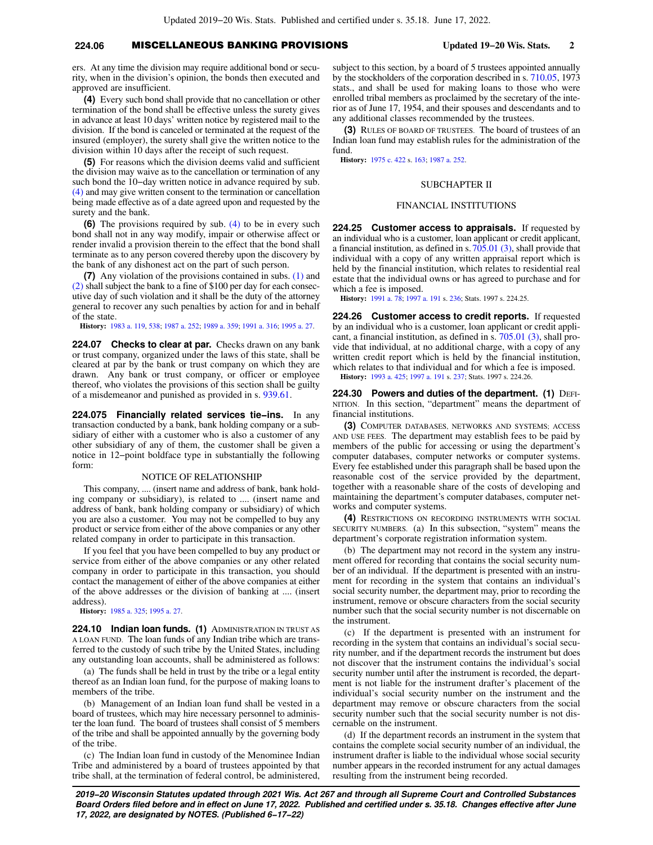## **224.06** MISCELLANEOUS BANKING PROVISIONS **Updated 19−20 Wis. Stats. 2**

ers. At any time the division may require additional bond or security, when in the division's opinion, the bonds then executed and approved are insufficient.

**(4)** Every such bond shall provide that no cancellation or other termination of the bond shall be effective unless the surety gives in advance at least 10 days' written notice by registered mail to the division. If the bond is canceled or terminated at the request of the insured (employer), the surety shall give the written notice to the division within 10 days after the receipt of such request.

**(5)** For reasons which the division deems valid and sufficient the division may waive as to the cancellation or termination of any such bond the 10−day written notice in advance required by sub. [\(4\)](https://docs.legis.wisconsin.gov/document/statutes/224.06(4)) and may give written consent to the termination or cancellation being made effective as of a date agreed upon and requested by the surety and the bank.

**(6)** The provisions required by sub. [\(4\)](https://docs.legis.wisconsin.gov/document/statutes/224.06(4)) to be in every such bond shall not in any way modify, impair or otherwise affect or render invalid a provision therein to the effect that the bond shall terminate as to any person covered thereby upon the discovery by the bank of any dishonest act on the part of such person.

**(7)** Any violation of the provisions contained in subs. [\(1\)](https://docs.legis.wisconsin.gov/document/statutes/224.06(1)) and [\(2\)](https://docs.legis.wisconsin.gov/document/statutes/224.06(2)) shall subject the bank to a fine of \$100 per day for each consecutive day of such violation and it shall be the duty of the attorney general to recover any such penalties by action for and in behalf of the state.

**History:** [1983 a. 119](https://docs.legis.wisconsin.gov/document/acts/1983/119), [538](https://docs.legis.wisconsin.gov/document/acts/1983/538); [1987 a. 252;](https://docs.legis.wisconsin.gov/document/acts/1987/252) [1989 a. 359](https://docs.legis.wisconsin.gov/document/acts/1989/359); [1991 a. 316](https://docs.legis.wisconsin.gov/document/acts/1991/316); [1995 a. 27](https://docs.legis.wisconsin.gov/document/acts/1995/27).

224.07 Checks to clear at par. Checks drawn on any bank or trust company, organized under the laws of this state, shall be cleared at par by the bank or trust company on which they are drawn. Any bank or trust company, or officer or employee thereof, who violates the provisions of this section shall be guilty of a misdemeanor and punished as provided in s. [939.61.](https://docs.legis.wisconsin.gov/document/statutes/939.61)

**224.075 Financially related services tie−ins.** In any transaction conducted by a bank, bank holding company or a subsidiary of either with a customer who is also a customer of any other subsidiary of any of them, the customer shall be given a notice in 12−point boldface type in substantially the following form:

## NOTICE OF RELATIONSHIP

This company, .... (insert name and address of bank, bank holding company or subsidiary), is related to .... (insert name and address of bank, bank holding company or subsidiary) of which you are also a customer. You may not be compelled to buy any product or service from either of the above companies or any other related company in order to participate in this transaction.

If you feel that you have been compelled to buy any product or service from either of the above companies or any other related company in order to participate in this transaction, you should contact the management of either of the above companies at either of the above addresses or the division of banking at .... (insert address).

**History:** [1985 a. 325](https://docs.legis.wisconsin.gov/document/acts/1985/325); [1995 a. 27.](https://docs.legis.wisconsin.gov/document/acts/1995/27)

**224.10 Indian loan funds. (1)** ADMINISTRATION IN TRUST AS A LOAN FUND. The loan funds of any Indian tribe which are transferred to the custody of such tribe by the United States, including any outstanding loan accounts, shall be administered as follows:

(a) The funds shall be held in trust by the tribe or a legal entity thereof as an Indian loan fund, for the purpose of making loans to members of the tribe.

(b) Management of an Indian loan fund shall be vested in a board of trustees, which may hire necessary personnel to administer the loan fund. The board of trustees shall consist of 5 members of the tribe and shall be appointed annually by the governing body of the tribe.

(c) The Indian loan fund in custody of the Menominee Indian Tribe and administered by a board of trustees appointed by that tribe shall, at the termination of federal control, be administered,

subject to this section, by a board of 5 trustees appointed annually by the stockholders of the corporation described in s. [710.05,](https://docs.legis.wisconsin.gov/document/statutes/1973/710.05) 1973 stats., and shall be used for making loans to those who were enrolled tribal members as proclaimed by the secretary of the interior as of June 17, 1954, and their spouses and descendants and to any additional classes recommended by the trustees.

**(3)** RULES OF BOARD OF TRUSTEES. The board of trustees of an Indian loan fund may establish rules for the administration of the fund.

**History:** [1975 c. 422](https://docs.legis.wisconsin.gov/document/acts/1975/422) s. [163](https://docs.legis.wisconsin.gov/document/acts/1975/422,%20s.%20163); [1987 a. 252.](https://docs.legis.wisconsin.gov/document/acts/1987/252)

## SUBCHAPTER II

## FINANCIAL INSTITUTIONS

**224.25 Customer access to appraisals.** If requested by an individual who is a customer, loan applicant or credit applicant, a financial institution, as defined in s.[705.01 \(3\),](https://docs.legis.wisconsin.gov/document/statutes/705.01(3)) shall provide that individual with a copy of any written appraisal report which is held by the financial institution, which relates to residential real estate that the individual owns or has agreed to purchase and for which a fee is imposed.

**History:** [1991 a. 78](https://docs.legis.wisconsin.gov/document/acts/1991/78); [1997 a. 191](https://docs.legis.wisconsin.gov/document/acts/1997/191) s. [236](https://docs.legis.wisconsin.gov/document/acts/1997/191,%20s.%20236); Stats. 1997 s. 224.25.

**224.26 Customer access to credit reports.** If requested by an individual who is a customer, loan applicant or credit applicant, a financial institution, as defined in s. [705.01 \(3\),](https://docs.legis.wisconsin.gov/document/statutes/705.01(3)) shall provide that individual, at no additional charge, with a copy of any written credit report which is held by the financial institution, which relates to that individual and for which a fee is imposed. **History:** [1993 a. 425;](https://docs.legis.wisconsin.gov/document/acts/1993/425) [1997 a. 191](https://docs.legis.wisconsin.gov/document/acts/1997/191) s. [237;](https://docs.legis.wisconsin.gov/document/acts/1997/191,%20s.%20237) Stats. 1997 s. 224.26.

**224.30 Powers and duties of the department. (1)** DEFI-NITION. In this section, "department" means the department of financial institutions.

**(3)** COMPUTER DATABASES, NETWORKS AND SYSTEMS; ACCESS AND USE FEES. The department may establish fees to be paid by members of the public for accessing or using the department's computer databases, computer networks or computer systems. Every fee established under this paragraph shall be based upon the reasonable cost of the service provided by the department, together with a reasonable share of the costs of developing and maintaining the department's computer databases, computer networks and computer systems.

**(4)** RESTRICTIONS ON RECORDING INSTRUMENTS WITH SOCIAL SECURITY NUMBERS. (a) In this subsection, "system" means the department's corporate registration information system.

(b) The department may not record in the system any instrument offered for recording that contains the social security number of an individual. If the department is presented with an instrument for recording in the system that contains an individual's social security number, the department may, prior to recording the instrument, remove or obscure characters from the social security number such that the social security number is not discernable on the instrument.

(c) If the department is presented with an instrument for recording in the system that contains an individual's social security number, and if the department records the instrument but does not discover that the instrument contains the individual's social security number until after the instrument is recorded, the department is not liable for the instrument drafter's placement of the individual's social security number on the instrument and the department may remove or obscure characters from the social security number such that the social security number is not discernable on the instrument.

(d) If the department records an instrument in the system that contains the complete social security number of an individual, the instrument drafter is liable to the individual whose social security number appears in the recorded instrument for any actual damages resulting from the instrument being recorded.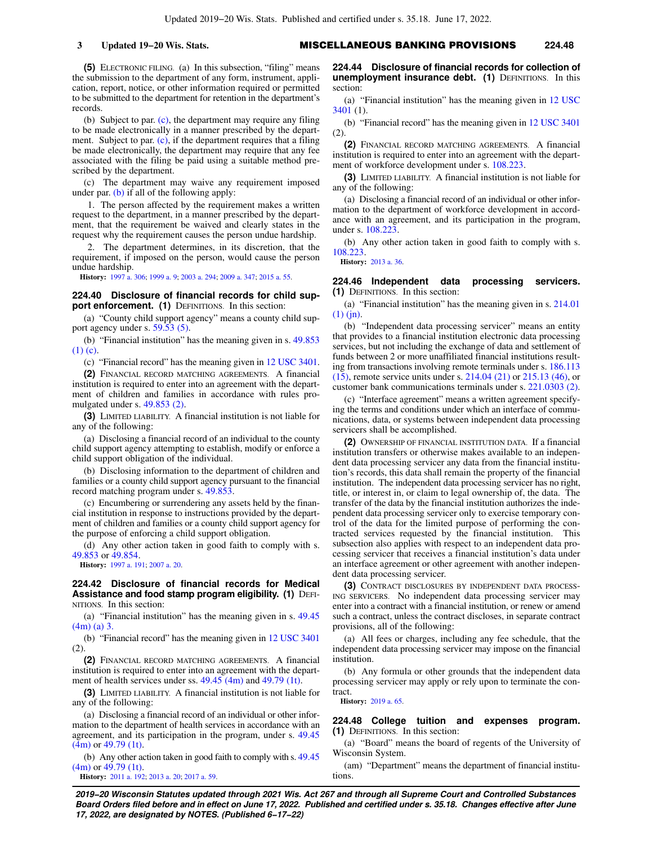**(5)** ELECTRONIC FILING. (a) In this subsection, "filing" means the submission to the department of any form, instrument, application, report, notice, or other information required or permitted to be submitted to the department for retention in the department's records.

(b) Subject to par. [\(c\)](https://docs.legis.wisconsin.gov/document/statutes/224.30(5)(c)), the department may require any filing to be made electronically in a manner prescribed by the department. Subject to par. [\(c\)](https://docs.legis.wisconsin.gov/document/statutes/224.30(5)(c)), if the department requires that a filing be made electronically, the department may require that any fee associated with the filing be paid using a suitable method prescribed by the department.

(c) The department may waive any requirement imposed under par.  $(b)$  if all of the following apply:

1. The person affected by the requirement makes a written request to the department, in a manner prescribed by the department, that the requirement be waived and clearly states in the request why the requirement causes the person undue hardship.

2. The department determines, in its discretion, that the requirement, if imposed on the person, would cause the person undue hardship.

**History:** [1997 a. 306](https://docs.legis.wisconsin.gov/document/acts/1997/306); [1999 a. 9;](https://docs.legis.wisconsin.gov/document/acts/1999/9) [2003 a. 294;](https://docs.legis.wisconsin.gov/document/acts/2003/294) [2009 a. 347](https://docs.legis.wisconsin.gov/document/acts/2009/347); [2015 a. 55.](https://docs.legis.wisconsin.gov/document/acts/2015/55)

## **224.40 Disclosure of financial records for child support enforcement.** (1) DEFINITIONS. In this section:

(a) "County child support agency" means a county child support agency under s. [59.53 \(5\).](https://docs.legis.wisconsin.gov/document/statutes/59.53(5))

(b) "Financial institution" has the meaning given in s. [49.853](https://docs.legis.wisconsin.gov/document/statutes/49.853(1)(c)) [\(1\) \(c\).](https://docs.legis.wisconsin.gov/document/statutes/49.853(1)(c))

(c) "Financial record" has the meaning given in [12 USC 3401.](https://docs.legis.wisconsin.gov/document/usc/12%20USC%203401)

**(2)** FINANCIAL RECORD MATCHING AGREEMENTS. A financial institution is required to enter into an agreement with the department of children and families in accordance with rules promulgated under s. [49.853 \(2\)](https://docs.legis.wisconsin.gov/document/statutes/49.853(2)).

**(3)** LIMITED LIABILITY. A financial institution is not liable for any of the following:

(a) Disclosing a financial record of an individual to the county child support agency attempting to establish, modify or enforce a child support obligation of the individual.

(b) Disclosing information to the department of children and families or a county child support agency pursuant to the financial record matching program under s. [49.853.](https://docs.legis.wisconsin.gov/document/statutes/49.853)

(c) Encumbering or surrendering any assets held by the financial institution in response to instructions provided by the department of children and families or a county child support agency for the purpose of enforcing a child support obligation.

(d) Any other action taken in good faith to comply with s. [49.853](https://docs.legis.wisconsin.gov/document/statutes/49.853) or [49.854.](https://docs.legis.wisconsin.gov/document/statutes/49.854)

**History:** [1997 a. 191](https://docs.legis.wisconsin.gov/document/acts/1997/191); [2007 a. 20.](https://docs.legis.wisconsin.gov/document/acts/2007/20)

**224.42 Disclosure of financial records for Medical Assistance and food stamp program eligibility. (1) DEFI-**NITIONS. In this section:

(a) "Financial institution" has the meaning given in s. [49.45](https://docs.legis.wisconsin.gov/document/statutes/49.45(4m)(a)3.) [\(4m\) \(a\) 3.](https://docs.legis.wisconsin.gov/document/statutes/49.45(4m)(a)3.)

(b) "Financial record" has the meaning given in [12 USC 3401](https://docs.legis.wisconsin.gov/document/usc/12%20USC%203401) (2).

**(2)** FINANCIAL RECORD MATCHING AGREEMENTS. A financial institution is required to enter into an agreement with the department of health services under ss. [49.45 \(4m\)](https://docs.legis.wisconsin.gov/document/statutes/49.45(4m)) and [49.79 \(1t\).](https://docs.legis.wisconsin.gov/document/statutes/49.79(1t))

**(3)** LIMITED LIABILITY. A financial institution is not liable for any of the following:

(a) Disclosing a financial record of an individual or other information to the department of health services in accordance with an agreement, and its participation in the program, under s. [49.45](https://docs.legis.wisconsin.gov/document/statutes/49.45(4m)) [\(4m\)](https://docs.legis.wisconsin.gov/document/statutes/49.45(4m)) or [49.79 \(1t\)](https://docs.legis.wisconsin.gov/document/statutes/49.79(1t)).

(b) Any other action taken in good faith to comply with s. [49.45](https://docs.legis.wisconsin.gov/document/statutes/49.45(4m)) [\(4m\)](https://docs.legis.wisconsin.gov/document/statutes/49.45(4m)) or [49.79 \(1t\)](https://docs.legis.wisconsin.gov/document/statutes/49.79(1t)).

**History:** [2011 a. 192](https://docs.legis.wisconsin.gov/document/acts/2011/192); [2013 a. 20](https://docs.legis.wisconsin.gov/document/acts/2013/20); [2017 a. 59](https://docs.legis.wisconsin.gov/document/acts/2017/59).

**224.44 Disclosure of financial records for collection of unemployment insurance debt. (1)** DEFINITIONS. In this section:

(a) "Financial institution" has the meaning given in [12 USC](https://docs.legis.wisconsin.gov/document/usc/12%20USC%203401) [3401](https://docs.legis.wisconsin.gov/document/usc/12%20USC%203401) (1).

(b) "Financial record" has the meaning given in [12 USC 3401](https://docs.legis.wisconsin.gov/document/usc/12%20USC%203401) (2).

**(2)** FINANCIAL RECORD MATCHING AGREEMENTS. A financial institution is required to enter into an agreement with the department of workforce development under s. [108.223](https://docs.legis.wisconsin.gov/document/statutes/108.223).

**(3)** LIMITED LIABILITY. A financial institution is not liable for any of the following:

(a) Disclosing a financial record of an individual or other information to the department of workforce development in accordance with an agreement, and its participation in the program, under s. [108.223](https://docs.legis.wisconsin.gov/document/statutes/108.223).

(b) Any other action taken in good faith to comply with s. [108.223](https://docs.legis.wisconsin.gov/document/statutes/108.223).

**History:** [2013 a. 36](https://docs.legis.wisconsin.gov/document/acts/2013/36).

## **224.46 Independent data processing servicers. (1)** DEFINITIONS. In this section:

(a) "Financial institution" has the meaning given in s. [214.01](https://docs.legis.wisconsin.gov/document/statutes/214.01(1)(jn)) [\(1\) \(jn\).](https://docs.legis.wisconsin.gov/document/statutes/214.01(1)(jn))

(b) "Independent data processing servicer" means an entity that provides to a financial institution electronic data processing services, but not including the exchange of data and settlement of funds between 2 or more unaffiliated financial institutions resulting from transactions involving remote terminals under s. [186.113](https://docs.legis.wisconsin.gov/document/statutes/186.113(15)) [\(15\)](https://docs.legis.wisconsin.gov/document/statutes/186.113(15)), remote service units under s. [214.04 \(21\)](https://docs.legis.wisconsin.gov/document/statutes/214.04(21)) or [215.13 \(46\)](https://docs.legis.wisconsin.gov/document/statutes/215.13(46)), or customer bank communications terminals under s. [221.0303 \(2\).](https://docs.legis.wisconsin.gov/document/statutes/221.0303(2))

(c) "Interface agreement" means a written agreement specifying the terms and conditions under which an interface of communications, data, or systems between independent data processing servicers shall be accomplished.

**(2)** OWNERSHIP OF FINANCIAL INSTITUTION DATA. If a financial institution transfers or otherwise makes available to an independent data processing servicer any data from the financial institution's records, this data shall remain the property of the financial institution. The independent data processing servicer has no right, title, or interest in, or claim to legal ownership of, the data. The transfer of the data by the financial institution authorizes the independent data processing servicer only to exercise temporary control of the data for the limited purpose of performing the contracted services requested by the financial institution. This subsection also applies with respect to an independent data processing servicer that receives a financial institution's data under an interface agreement or other agreement with another independent data processing servicer.

**(3)** CONTRACT DISCLOSURES BY INDEPENDENT DATA PROCESS-ING SERVICERS. No independent data processing servicer may enter into a contract with a financial institution, or renew or amend such a contract, unless the contract discloses, in separate contract provisions, all of the following:

(a) All fees or charges, including any fee schedule, that the independent data processing servicer may impose on the financial institution.

(b) Any formula or other grounds that the independent data processing servicer may apply or rely upon to terminate the contract.

**History:** [2019 a. 65](https://docs.legis.wisconsin.gov/document/acts/2019/65).

## **224.48 College tuition and expenses program. (1)** DEFINITIONS. In this section:

(a) "Board" means the board of regents of the University of Wisconsin System.

(am) "Department" means the department of financial institutions.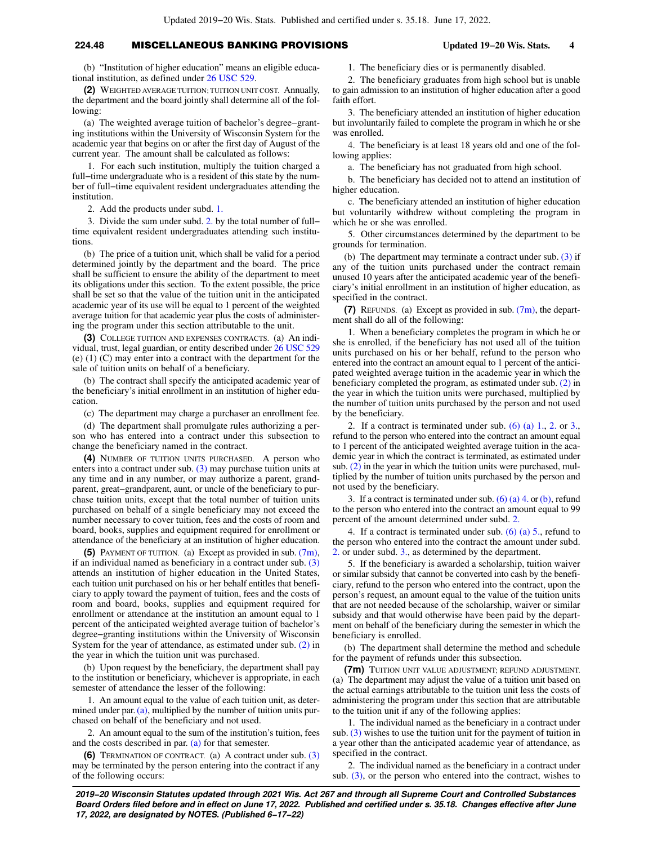## **224.48** MISCELLANEOUS BANKING PROVISIONS **Updated 19−20 Wis. Stats. 4**

(b) "Institution of higher education" means an eligible educational institution, as defined under [26 USC 529.](https://docs.legis.wisconsin.gov/document/usc/26%20USC%20529)

**(2)** WEIGHTED AVERAGE TUITION; TUITION UNIT COST. Annually, the department and the board jointly shall determine all of the following:

(a) The weighted average tuition of bachelor's degree−granting institutions within the University of Wisconsin System for the academic year that begins on or after the first day of August of the current year. The amount shall be calculated as follows:

1. For each such institution, multiply the tuition charged a full−time undergraduate who is a resident of this state by the number of full−time equivalent resident undergraduates attending the institution.

2. Add the products under subd. [1.](https://docs.legis.wisconsin.gov/document/statutes/224.48(2)(a)1.)

3. Divide the sum under subd. [2.](https://docs.legis.wisconsin.gov/document/statutes/224.48(2)(a)2.) by the total number of full− time equivalent resident undergraduates attending such institutions.

(b) The price of a tuition unit, which shall be valid for a period determined jointly by the department and the board. The price shall be sufficient to ensure the ability of the department to meet its obligations under this section. To the extent possible, the price shall be set so that the value of the tuition unit in the anticipated academic year of its use will be equal to 1 percent of the weighted average tuition for that academic year plus the costs of administering the program under this section attributable to the unit.

**(3)** COLLEGE TUITION AND EXPENSES CONTRACTS. (a) An individual, trust, legal guardian, or entity described under [26 USC 529](https://docs.legis.wisconsin.gov/document/usc/26%20USC%20529) (e) (1) (C) may enter into a contract with the department for the sale of tuition units on behalf of a beneficiary.

(b) The contract shall specify the anticipated academic year of the beneficiary's initial enrollment in an institution of higher education.

(c) The department may charge a purchaser an enrollment fee.

(d) The department shall promulgate rules authorizing a person who has entered into a contract under this subsection to change the beneficiary named in the contract.

**(4)** NUMBER OF TUITION UNITS PURCHASED. A person who enters into a contract under sub.  $(3)$  may purchase tuition units at any time and in any number, or may authorize a parent, grandparent, great−grandparent, aunt, or uncle of the beneficiary to purchase tuition units, except that the total number of tuition units purchased on behalf of a single beneficiary may not exceed the number necessary to cover tuition, fees and the costs of room and board, books, supplies and equipment required for enrollment or attendance of the beneficiary at an institution of higher education.

**(5)** PAYMENT OF TUITION. (a) Except as provided in sub. [\(7m\),](https://docs.legis.wisconsin.gov/document/statutes/224.48(7m)) if an individual named as beneficiary in a contract under sub. [\(3\)](https://docs.legis.wisconsin.gov/document/statutes/224.48(3)) attends an institution of higher education in the United States, each tuition unit purchased on his or her behalf entitles that beneficiary to apply toward the payment of tuition, fees and the costs of room and board, books, supplies and equipment required for enrollment or attendance at the institution an amount equal to 1 percent of the anticipated weighted average tuition of bachelor's degree−granting institutions within the University of Wisconsin System for the year of attendance, as estimated under sub. [\(2\)](https://docs.legis.wisconsin.gov/document/statutes/224.48(2)) in the year in which the tuition unit was purchased.

(b) Upon request by the beneficiary, the department shall pay to the institution or beneficiary, whichever is appropriate, in each semester of attendance the lesser of the following:

1. An amount equal to the value of each tuition unit, as determined under par. $(a)$ , multiplied by the number of tuition units purchased on behalf of the beneficiary and not used.

2. An amount equal to the sum of the institution's tuition, fees and the costs described in par. [\(a\)](https://docs.legis.wisconsin.gov/document/statutes/224.48(5)(a)) for that semester.

**(6)** TERMINATION OF CONTRACT. (a) A contract under sub. [\(3\)](https://docs.legis.wisconsin.gov/document/statutes/224.48(3)) may be terminated by the person entering into the contract if any of the following occurs:

1. The beneficiary dies or is permanently disabled.

2. The beneficiary graduates from high school but is unable to gain admission to an institution of higher education after a good faith effort.

3. The beneficiary attended an institution of higher education but involuntarily failed to complete the program in which he or she was enrolled.

4. The beneficiary is at least 18 years old and one of the following applies:

a. The beneficiary has not graduated from high school.

b. The beneficiary has decided not to attend an institution of higher education.

c. The beneficiary attended an institution of higher education but voluntarily withdrew without completing the program in which he or she was enrolled.

5. Other circumstances determined by the department to be grounds for termination.

(b) The department may terminate a contract under sub. [\(3\)](https://docs.legis.wisconsin.gov/document/statutes/224.48(3)) if any of the tuition units purchased under the contract remain unused 10 years after the anticipated academic year of the beneficiary's initial enrollment in an institution of higher education, as specified in the contract.

**(7)** REFUNDS. (a) Except as provided in sub. [\(7m\),](https://docs.legis.wisconsin.gov/document/statutes/224.48(7m)) the department shall do all of the following:

1. When a beneficiary completes the program in which he or she is enrolled, if the beneficiary has not used all of the tuition units purchased on his or her behalf, refund to the person who entered into the contract an amount equal to 1 percent of the anticipated weighted average tuition in the academic year in which the beneficiary completed the program, as estimated under sub. [\(2\)](https://docs.legis.wisconsin.gov/document/statutes/224.48(2)) in the year in which the tuition units were purchased, multiplied by the number of tuition units purchased by the person and not used by the beneficiary.

[2.](https://docs.legis.wisconsin.gov/document/statutes/224.48(6)(a)2.) If a contract is terminated under sub.  $(6)$  (a) 1, 2, or 3, refund to the person who entered into the contract an amount equal to 1 percent of the anticipated weighted average tuition in the academic year in which the contract is terminated, as estimated under sub. [\(2\)](https://docs.legis.wisconsin.gov/document/statutes/224.48(2)) in the year in which the tuition units were purchased, multiplied by the number of tuition units purchased by the person and not used by the beneficiary.

3. If a contract is terminated under sub.  $(6)$  (a) 4. or [\(b\),](https://docs.legis.wisconsin.gov/document/statutes/224.48(6)(b)) refund to the person who entered into the contract an amount equal to 99 percent of the amount determined under subd. [2.](https://docs.legis.wisconsin.gov/document/statutes/224.48(7)(a)2.)

4. If a contract is terminated under sub. [\(6\) \(a\) 5.](https://docs.legis.wisconsin.gov/document/statutes/224.48(6)(a)5.), refund to the person who entered into the contract the amount under subd. [2.](https://docs.legis.wisconsin.gov/document/statutes/224.48(7)(a)2.) or under subd. [3.](https://docs.legis.wisconsin.gov/document/statutes/224.48(7)(a)3.), as determined by the department.

5. If the beneficiary is awarded a scholarship, tuition waiver or similar subsidy that cannot be converted into cash by the beneficiary, refund to the person who entered into the contract, upon the person's request, an amount equal to the value of the tuition units that are not needed because of the scholarship, waiver or similar subsidy and that would otherwise have been paid by the department on behalf of the beneficiary during the semester in which the beneficiary is enrolled.

(b) The department shall determine the method and schedule for the payment of refunds under this subsection.

**(7m)** TUITION UNIT VALUE ADJUSTMENT; REFUND ADJUSTMENT. (a) The department may adjust the value of a tuition unit based on the actual earnings attributable to the tuition unit less the costs of administering the program under this section that are attributable to the tuition unit if any of the following applies:

1. The individual named as the beneficiary in a contract under sub. [\(3\)](https://docs.legis.wisconsin.gov/document/statutes/224.48(3)) wishes to use the tuition unit for the payment of tuition in a year other than the anticipated academic year of attendance, as specified in the contract.

2. The individual named as the beneficiary in a contract under sub.  $(3)$ , or the person who entered into the contract, wishes to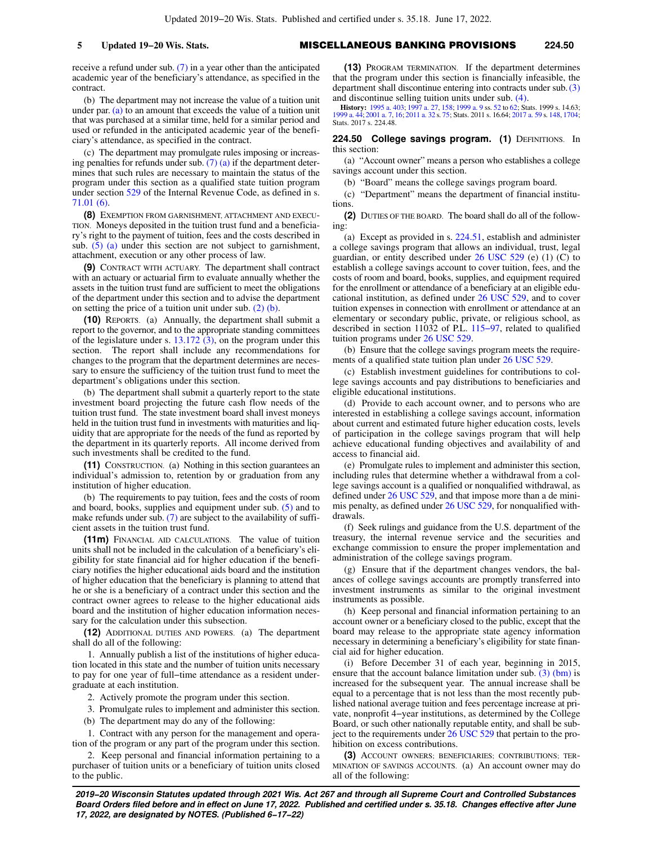receive a refund under sub. [\(7\)](https://docs.legis.wisconsin.gov/document/statutes/224.48(7)) in a year other than the anticipated academic year of the beneficiary's attendance, as specified in the contract.

(b) The department may not increase the value of a tuition unit under par. [\(a\)](https://docs.legis.wisconsin.gov/document/statutes/224.48(7m)(a)) to an amount that exceeds the value of a tuition unit that was purchased at a similar time, held for a similar period and used or refunded in the anticipated academic year of the beneficiary's attendance, as specified in the contract.

(c) The department may promulgate rules imposing or increasing penalties for refunds under sub.  $(7)$  (a) if the department determines that such rules are necessary to maintain the status of the program under this section as a qualified state tuition program under section [529](https://docs.legis.wisconsin.gov/document/usc/26%20USC%20529) of the Internal Revenue Code, as defined in s. [71.01 \(6\).](https://docs.legis.wisconsin.gov/document/statutes/71.01(6))

**(8)** EXEMPTION FROM GARNISHMENT, ATTACHMENT AND EXECU-TION. Moneys deposited in the tuition trust fund and a beneficiary's right to the payment of tuition, fees and the costs described in sub.  $(5)$  (a) under this section are not subject to garnishment, attachment, execution or any other process of law.

**(9)** CONTRACT WITH ACTUARY. The department shall contract with an actuary or actuarial firm to evaluate annually whether the assets in the tuition trust fund are sufficient to meet the obligations of the department under this section and to advise the department on setting the price of a tuition unit under sub. [\(2\) \(b\).](https://docs.legis.wisconsin.gov/document/statutes/224.48(2)(b))

**(10)** REPORTS. (a) Annually, the department shall submit a report to the governor, and to the appropriate standing committees of the legislature under s. [13.172 \(3\),](https://docs.legis.wisconsin.gov/document/statutes/13.172(3)) on the program under this section. The report shall include any recommendations for changes to the program that the department determines are necessary to ensure the sufficiency of the tuition trust fund to meet the department's obligations under this section.

(b) The department shall submit a quarterly report to the state investment board projecting the future cash flow needs of the tuition trust fund. The state investment board shall invest moneys held in the tuition trust fund in investments with maturities and liquidity that are appropriate for the needs of the fund as reported by the department in its quarterly reports. All income derived from such investments shall be credited to the fund.

**(11)** CONSTRUCTION. (a) Nothing in this section guarantees an individual's admission to, retention by or graduation from any institution of higher education.

(b) The requirements to pay tuition, fees and the costs of room and board, books, supplies and equipment under sub. [\(5\)](https://docs.legis.wisconsin.gov/document/statutes/224.48(5)) and to make refunds under sub. [\(7\)](https://docs.legis.wisconsin.gov/document/statutes/224.48(7)) are subject to the availability of sufficient assets in the tuition trust fund.

**(11m)** FINANCIAL AID CALCULATIONS. The value of tuition units shall not be included in the calculation of a beneficiary's eligibility for state financial aid for higher education if the beneficiary notifies the higher educational aids board and the institution of higher education that the beneficiary is planning to attend that he or she is a beneficiary of a contract under this section and the contract owner agrees to release to the higher educational aids board and the institution of higher education information necessary for the calculation under this subsection.

**(12)** ADDITIONAL DUTIES AND POWERS. (a) The department shall do all of the following:

1. Annually publish a list of the institutions of higher education located in this state and the number of tuition units necessary to pay for one year of full−time attendance as a resident undergraduate at each institution.

2. Actively promote the program under this section.

3. Promulgate rules to implement and administer this section.

(b) The department may do any of the following:

1. Contract with any person for the management and operation of the program or any part of the program under this section.

2. Keep personal and financial information pertaining to a purchaser of tuition units or a beneficiary of tuition units closed to the public.

**(13)** PROGRAM TERMINATION. If the department determines that the program under this section is financially infeasible, the department shall discontinue entering into contracts under sub.[\(3\)](https://docs.legis.wisconsin.gov/document/statutes/224.48(3)) and discontinue selling tuition units under sub. [\(4\).](https://docs.legis.wisconsin.gov/document/statutes/224.48(4))

**History:** [1995 a. 403;](https://docs.legis.wisconsin.gov/document/acts/1995/403) [1997 a. 27,](https://docs.legis.wisconsin.gov/document/acts/1997/27) [158;](https://docs.legis.wisconsin.gov/document/acts/1997/158) [1999 a. 9](https://docs.legis.wisconsin.gov/document/acts/1999/9) ss. [52](https://docs.legis.wisconsin.gov/document/acts/1999/9,%20s.%2052) to [62](https://docs.legis.wisconsin.gov/document/acts/1999/9,%20s.%2062); Stats. 1999 s. 14.63; [1999 a. 44](https://docs.legis.wisconsin.gov/document/acts/1999/44); [2001 a. 7,](https://docs.legis.wisconsin.gov/document/acts/2001/7) [16](https://docs.legis.wisconsin.gov/document/acts/2001/16); [2011 a. 32](https://docs.legis.wisconsin.gov/document/acts/2011/32) s. [75;](https://docs.legis.wisconsin.gov/document/acts/2011/32,%20s.%2075) Stats. 2011 s. 16.64; [2017 a. 59](https://docs.legis.wisconsin.gov/document/acts/2017/59) s. [148](https://docs.legis.wisconsin.gov/document/acts/2017/59,%20s.%20148), [1704](https://docs.legis.wisconsin.gov/document/acts/2017/59,%20s.%201704); Stats. 2017 s. 224.48.

## **224.50 College savings program. (1)** DEFINITIONS. In this section:

(a) "Account owner" means a person who establishes a college savings account under this section.

(b) "Board" means the college savings program board.

(c) "Department" means the department of financial institutions.

**(2)** DUTIES OF THE BOARD. The board shall do all of the following:

(a) Except as provided in s. [224.51](https://docs.legis.wisconsin.gov/document/statutes/224.51), establish and administer a college savings program that allows an individual, trust, legal guardian, or entity described under  $26$  USC 529 (e) (1) (C) to establish a college savings account to cover tuition, fees, and the costs of room and board, books, supplies, and equipment required for the enrollment or attendance of a beneficiary at an eligible educational institution, as defined under [26 USC 529,](https://docs.legis.wisconsin.gov/document/usc/26%20USC%20529) and to cover tuition expenses in connection with enrollment or attendance at an elementary or secondary public, private, or religious school, as described in section 11032 of P.L. [115−97,](https://docs.legis.wisconsin.gov/document/publiclaw/115-97) related to qualified tuition programs under [26 USC 529.](https://docs.legis.wisconsin.gov/document/usc/26%20USC%20529)

(b) Ensure that the college savings program meets the requirements of a qualified state tuition plan under [26 USC 529.](https://docs.legis.wisconsin.gov/document/usc/26%20USC%20529)

(c) Establish investment guidelines for contributions to college savings accounts and pay distributions to beneficiaries and eligible educational institutions.

(d) Provide to each account owner, and to persons who are interested in establishing a college savings account, information about current and estimated future higher education costs, levels of participation in the college savings program that will help achieve educational funding objectives and availability of and access to financial aid.

(e) Promulgate rules to implement and administer this section, including rules that determine whether a withdrawal from a college savings account is a qualified or nonqualified withdrawal, as defined under [26 USC 529,](https://docs.legis.wisconsin.gov/document/usc/26%20USC%20529) and that impose more than a de minimis penalty, as defined under [26 USC 529](https://docs.legis.wisconsin.gov/document/usc/26%20USC%20529), for nonqualified withdrawals.

(f) Seek rulings and guidance from the U.S. department of the treasury, the internal revenue service and the securities and exchange commission to ensure the proper implementation and administration of the college savings program.

(g) Ensure that if the department changes vendors, the balances of college savings accounts are promptly transferred into investment instruments as similar to the original investment instruments as possible.

(h) Keep personal and financial information pertaining to an account owner or a beneficiary closed to the public, except that the board may release to the appropriate state agency information necessary in determining a beneficiary's eligibility for state financial aid for higher education.

(i) Before December 31 of each year, beginning in 2015, ensure that the account balance limitation under sub. [\(3\) \(bm\)](https://docs.legis.wisconsin.gov/document/statutes/224.50(3)(bm)) is increased for the subsequent year. The annual increase shall be equal to a percentage that is not less than the most recently published national average tuition and fees percentage increase at private, nonprofit 4−year institutions, as determined by the College Board, or such other nationally reputable entity, and shall be subject to the requirements under [26 USC 529](https://docs.legis.wisconsin.gov/document/usc/26%20USC%20529) that pertain to the prohibition on excess contributions.

**(3)** ACCOUNT OWNERS; BENEFICIARIES; CONTRIBUTIONS; TER-MINATION OF SAVINGS ACCOUNTS. (a) An account owner may do all of the following: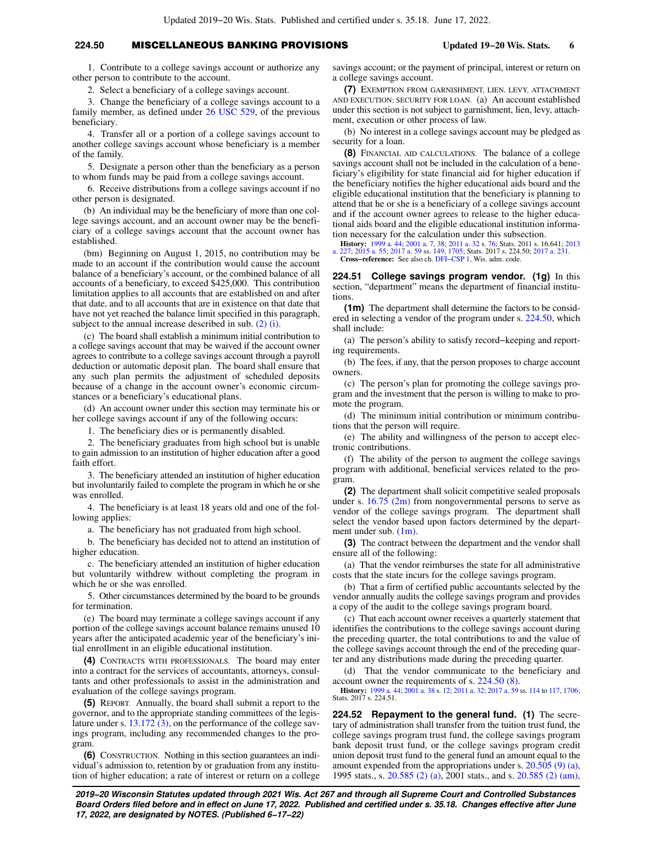# **224.50** MISCELLANEOUS BANKING PROVISIONS **Updated 19−20 Wis. Stats. 6**

1. Contribute to a college savings account or authorize any other person to contribute to the account.

2. Select a beneficiary of a college savings account.

3. Change the beneficiary of a college savings account to a family member, as defined under [26 USC 529](https://docs.legis.wisconsin.gov/document/usc/26%20USC%20529), of the previous beneficiary.

4. Transfer all or a portion of a college savings account to another college savings account whose beneficiary is a member of the family.

5. Designate a person other than the beneficiary as a person to whom funds may be paid from a college savings account.

6. Receive distributions from a college savings account if no other person is designated.

(b) An individual may be the beneficiary of more than one college savings account, and an account owner may be the beneficiary of a college savings account that the account owner has established.

(bm) Beginning on August 1, 2015, no contribution may be made to an account if the contribution would cause the account balance of a beneficiary's account, or the combined balance of all accounts of a beneficiary, to exceed \$425,000. This contribution limitation applies to all accounts that are established on and after that date, and to all accounts that are in existence on that date that have not yet reached the balance limit specified in this paragraph, subject to the annual increase described in sub. [\(2\) \(i\)](https://docs.legis.wisconsin.gov/document/statutes/224.50(2)(i)).

(c) The board shall establish a minimum initial contribution to a college savings account that may be waived if the account owner agrees to contribute to a college savings account through a payroll deduction or automatic deposit plan. The board shall ensure that any such plan permits the adjustment of scheduled deposits because of a change in the account owner's economic circumstances or a beneficiary's educational plans.

(d) An account owner under this section may terminate his or her college savings account if any of the following occurs:

1. The beneficiary dies or is permanently disabled.

2. The beneficiary graduates from high school but is unable to gain admission to an institution of higher education after a good faith effort.

3. The beneficiary attended an institution of higher education but involuntarily failed to complete the program in which he or she was enrolled.

4. The beneficiary is at least 18 years old and one of the following applies:

a. The beneficiary has not graduated from high school.

b. The beneficiary has decided not to attend an institution of higher education.

c. The beneficiary attended an institution of higher education but voluntarily withdrew without completing the program in which he or she was enrolled.

5. Other circumstances determined by the board to be grounds for termination.

(e) The board may terminate a college savings account if any portion of the college savings account balance remains unused 10 years after the anticipated academic year of the beneficiary's initial enrollment in an eligible educational institution.

**(4)** CONTRACTS WITH PROFESSIONALS. The board may enter into a contract for the services of accountants, attorneys, consultants and other professionals to assist in the administration and evaluation of the college savings program.

**(5)** REPORT. Annually, the board shall submit a report to the governor, and to the appropriate standing committees of the legislature under s. [13.172 \(3\)](https://docs.legis.wisconsin.gov/document/statutes/13.172(3)), on the performance of the college savings program, including any recommended changes to the program.

**(6)** CONSTRUCTION. Nothing in this section guarantees an individual's admission to, retention by or graduation from any institution of higher education; a rate of interest or return on a college savings account; or the payment of principal, interest or return on a college savings account.

**(7)** EXEMPTION FROM GARNISHMENT, LIEN, LEVY, ATTACHMENT AND EXECUTION; SECURITY FOR LOAN. (a) An account established under this section is not subject to garnishment, lien, levy, attachment, execution or other process of law.

(b) No interest in a college savings account may be pledged as security for a loan.

**(8)** FINANCIAL AID CALCULATIONS. The balance of a college savings account shall not be included in the calculation of a beneficiary's eligibility for state financial aid for higher education if the beneficiary notifies the higher educational aids board and the eligible educational institution that the beneficiary is planning to attend that he or she is a beneficiary of a college savings account and if the account owner agrees to release to the higher educational aids board and the eligible educational institution information necessary for the calculation under this subsection.

**History:** [1999 a. 44;](https://docs.legis.wisconsin.gov/document/acts/1999/44) [2001 a. 7,](https://docs.legis.wisconsin.gov/document/acts/2001/7) [38](https://docs.legis.wisconsin.gov/document/acts/2001/38); [2011 a. 32](https://docs.legis.wisconsin.gov/document/acts/2011/32) s. [76;](https://docs.legis.wisconsin.gov/document/acts/2011/32,%20s.%2076) Stats. 2011 s. 16.641; [2013](https://docs.legis.wisconsin.gov/document/acts/2013/227) [a. 227](https://docs.legis.wisconsin.gov/document/acts/2013/227); [2015 a. 55](https://docs.legis.wisconsin.gov/document/acts/2015/55); [2017 a. 59](https://docs.legis.wisconsin.gov/document/acts/2017/59) ss. [149,](https://docs.legis.wisconsin.gov/document/acts/2017/59,%20s.%20149) [1705](https://docs.legis.wisconsin.gov/document/acts/2017/59,%20s.%201705); Stats. 2017 s. 224.50; [2017 a. 231](https://docs.legis.wisconsin.gov/document/acts/2017/231). **Cross−reference:** See also ch. [DFI−CSP 1,](https://docs.legis.wisconsin.gov/document/administrativecode/ch.%20DFI-CSP%201) Wis. adm. code.

**224.51 College savings program vendor. (1g)** In this section, "department" means the department of financial institutions.

**(1m)** The department shall determine the factors to be considered in selecting a vendor of the program under s. [224.50,](https://docs.legis.wisconsin.gov/document/statutes/224.50) which shall include:

(a) The person's ability to satisfy record−keeping and reporting requirements.

(b) The fees, if any, that the person proposes to charge account owners.

(c) The person's plan for promoting the college savings program and the investment that the person is willing to make to promote the program.

(d) The minimum initial contribution or minimum contributions that the person will require.

(e) The ability and willingness of the person to accept electronic contributions.

(f) The ability of the person to augment the college savings program with additional, beneficial services related to the program.

**(2)** The department shall solicit competitive sealed proposals under s.  $16.75$  (2m) from nongovernmental persons to serve as vendor of the college savings program. The department shall select the vendor based upon factors determined by the department under sub. [\(1m\).](https://docs.legis.wisconsin.gov/document/statutes/224.51(1m))

**(3)** The contract between the department and the vendor shall ensure all of the following:

(a) That the vendor reimburses the state for all administrative costs that the state incurs for the college savings program.

(b) That a firm of certified public accountants selected by the vendor annually audits the college savings program and provides a copy of the audit to the college savings program board.

(c) That each account owner receives a quarterly statement that identifies the contributions to the college savings account during the preceding quarter, the total contributions to and the value of the college savings account through the end of the preceding quarter and any distributions made during the preceding quarter.

(d) That the vendor communicate to the beneficiary and account owner the requirements of s. [224.50 \(8\).](https://docs.legis.wisconsin.gov/document/statutes/224.50(8))

**History:** [1999 a. 44;](https://docs.legis.wisconsin.gov/document/acts/1999/44) [2001 a. 38](https://docs.legis.wisconsin.gov/document/acts/2001/38) s. [12](https://docs.legis.wisconsin.gov/document/acts/2001/38,%20s.%2012); [2011 a. 32](https://docs.legis.wisconsin.gov/document/acts/2011/32); [2017 a. 59](https://docs.legis.wisconsin.gov/document/acts/2017/59) ss. [114](https://docs.legis.wisconsin.gov/document/acts/2017/59,%20s.%20114) to [117](https://docs.legis.wisconsin.gov/document/acts/2017/59,%20s.%20117), [1706](https://docs.legis.wisconsin.gov/document/acts/2017/59,%20s.%201706); Stats. 2017 s. 224.51.

**224.52 Repayment to the general fund. (1)** The secretary of administration shall transfer from the tuition trust fund, the college savings program trust fund, the college savings program bank deposit trust fund, or the college savings program credit union deposit trust fund to the general fund an amount equal to the amount expended from the appropriations under s. [20.505 \(9\) \(a\),](https://docs.legis.wisconsin.gov/document/statutes/1995/20.505(9)(a)) 1995 stats., s. [20.585 \(2\) \(a\),](https://docs.legis.wisconsin.gov/document/statutes/2001/20.585(2)(a)) 2001 stats., and s. [20.585 \(2\) \(am\),](https://docs.legis.wisconsin.gov/document/statutes/2001/20.585(2)(am))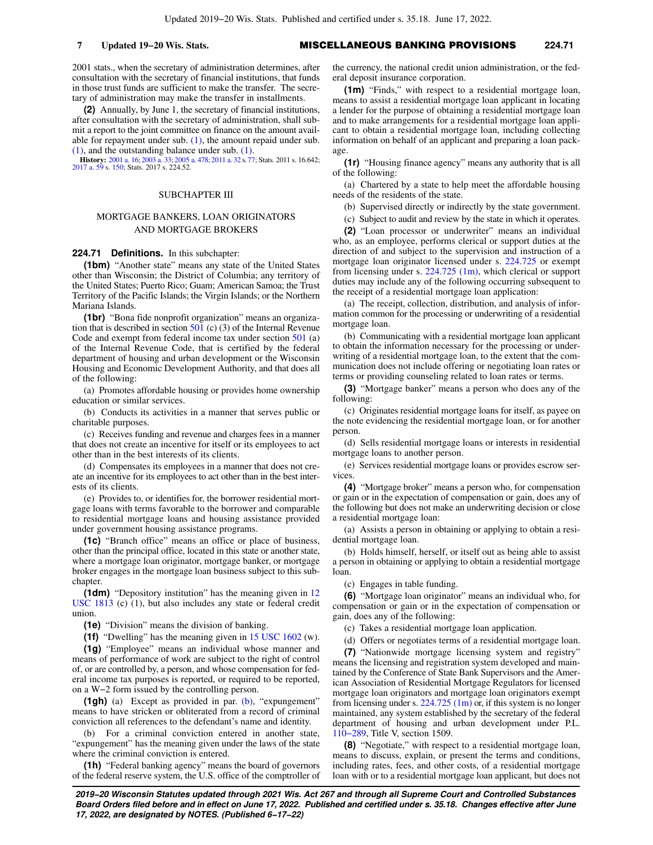2001 stats., when the secretary of administration determines, after consultation with the secretary of financial institutions, that funds in those trust funds are sufficient to make the transfer. The secretary of administration may make the transfer in installments.

**(2)** Annually, by June 1, the secretary of financial institutions, after consultation with the secretary of administration, shall submit a report to the joint committee on finance on the amount available for repayment under sub.  $(1)$ , the amount repaid under sub. [\(1\)](https://docs.legis.wisconsin.gov/document/statutes/224.52(1)), and the outstanding balance under sub. [\(1\).](https://docs.legis.wisconsin.gov/document/statutes/224.52(1))

**History:** [2001 a. 16;](https://docs.legis.wisconsin.gov/document/acts/2001/16) [2003 a. 33;](https://docs.legis.wisconsin.gov/document/acts/2003/33) [2005 a. 478](https://docs.legis.wisconsin.gov/document/acts/2005/478); [2011 a. 32](https://docs.legis.wisconsin.gov/document/acts/2011/32) s. [77](https://docs.legis.wisconsin.gov/document/acts/2011/32,%20s.%2077); Stats. 2011 s. 16.642; [2017 a. 59](https://docs.legis.wisconsin.gov/document/acts/2017/59) s. [150;](https://docs.legis.wisconsin.gov/document/acts/2017/59,%20s.%20150) Stats. 2017 s. 224.52.

## SUBCHAPTER III

## MORTGAGE BANKERS, LOAN ORIGINATORS AND MORTGAGE BROKERS

# **224.71 Definitions.** In this subchapter:

**(1bm)** "Another state" means any state of the United States other than Wisconsin; the District of Columbia; any territory of the United States; Puerto Rico; Guam; American Samoa; the Trust Territory of the Pacific Islands; the Virgin Islands; or the Northern Mariana Islands.

**(1br)** "Bona fide nonprofit organization" means an organization that is described in section  $501$  (c) (3) of the Internal Revenue Code and exempt from federal income tax under section [501](https://docs.legis.wisconsin.gov/document/usc/26%20USC%20501) (a) of the Internal Revenue Code, that is certified by the federal department of housing and urban development or the Wisconsin Housing and Economic Development Authority, and that does all of the following:

(a) Promotes affordable housing or provides home ownership education or similar services.

(b) Conducts its activities in a manner that serves public or charitable purposes.

(c) Receives funding and revenue and charges fees in a manner that does not create an incentive for itself or its employees to act other than in the best interests of its clients.

(d) Compensates its employees in a manner that does not create an incentive for its employees to act other than in the best interests of its clients.

(e) Provides to, or identifies for, the borrower residential mortgage loans with terms favorable to the borrower and comparable to residential mortgage loans and housing assistance provided under government housing assistance programs.

**(1c)** "Branch office" means an office or place of business, other than the principal office, located in this state or another state, where a mortgage loan originator, mortgage banker, or mortgage broker engages in the mortgage loan business subject to this subchapter.

**(1dm)** "Depository institution" has the meaning given in [12](https://docs.legis.wisconsin.gov/document/usc/12%20USC%201813) [USC 1813](https://docs.legis.wisconsin.gov/document/usc/12%20USC%201813) (c) (1), but also includes any state or federal credit union.

**(1e)** "Division" means the division of banking.

**(1f)** "Dwelling" has the meaning given in [15 USC 1602](https://docs.legis.wisconsin.gov/document/usc/15%20USC%201602) (w).

**(1g)** "Employee" means an individual whose manner and means of performance of work are subject to the right of control of, or are controlled by, a person, and whose compensation for federal income tax purposes is reported, or required to be reported, on a W−2 form issued by the controlling person.

**(1gh)** (a) Except as provided in par. [\(b\)](https://docs.legis.wisconsin.gov/document/statutes/224.71(1gh)(b)), "expungement" means to have stricken or obliterated from a record of criminal conviction all references to the defendant's name and identity.

(b) For a criminal conviction entered in another state, "expungement" has the meaning given under the laws of the state where the criminal conviction is entered.

**(1h)** "Federal banking agency" means the board of governors of the federal reserve system, the U.S. office of the comptroller of the currency, the national credit union administration, or the federal deposit insurance corporation.

**(1m)** "Finds," with respect to a residential mortgage loan, means to assist a residential mortgage loan applicant in locating a lender for the purpose of obtaining a residential mortgage loan and to make arrangements for a residential mortgage loan applicant to obtain a residential mortgage loan, including collecting information on behalf of an applicant and preparing a loan package.

**(1r)** "Housing finance agency" means any authority that is all of the following:

(a) Chartered by a state to help meet the affordable housing needs of the residents of the state.

(b) Supervised directly or indirectly by the state government.

(c) Subject to audit and review by the state in which it operates.

**(2)** "Loan processor or underwriter" means an individual who, as an employee, performs clerical or support duties at the direction of and subject to the supervision and instruction of a mortgage loan originator licensed under s. [224.725](https://docs.legis.wisconsin.gov/document/statutes/224.725) or exempt from licensing under s. [224.725 \(1m\)](https://docs.legis.wisconsin.gov/document/statutes/224.725(1m)), which clerical or support duties may include any of the following occurring subsequent to the receipt of a residential mortgage loan application:

(a) The receipt, collection, distribution, and analysis of information common for the processing or underwriting of a residential mortgage loan.

(b) Communicating with a residential mortgage loan applicant to obtain the information necessary for the processing or underwriting of a residential mortgage loan, to the extent that the communication does not include offering or negotiating loan rates or terms or providing counseling related to loan rates or terms.

**(3)** "Mortgage banker" means a person who does any of the following:

(c) Originates residential mortgage loans for itself, as payee on the note evidencing the residential mortgage loan, or for another person.

(d) Sells residential mortgage loans or interests in residential mortgage loans to another person.

(e) Services residential mortgage loans or provides escrow services

**(4)** "Mortgage broker" means a person who, for compensation or gain or in the expectation of compensation or gain, does any of the following but does not make an underwriting decision or close a residential mortgage loan:

(a) Assists a person in obtaining or applying to obtain a residential mortgage loan.

(b) Holds himself, herself, or itself out as being able to assist a person in obtaining or applying to obtain a residential mortgage loan.

(c) Engages in table funding.

**(6)** "Mortgage loan originator" means an individual who, for compensation or gain or in the expectation of compensation or gain, does any of the following:

(c) Takes a residential mortgage loan application.

(d) Offers or negotiates terms of a residential mortgage loan.

**(7)** "Nationwide mortgage licensing system and registry" means the licensing and registration system developed and maintained by the Conference of State Bank Supervisors and the American Association of Residential Mortgage Regulators for licensed mortgage loan originators and mortgage loan originators exempt from licensing under s.  $224.725$  (1m) or, if this system is no longer maintained, any system established by the secretary of the federal department of housing and urban development under P.L. [110−289](https://docs.legis.wisconsin.gov/document/publiclaw/110-289), Title V, section 1509.

**(8)** "Negotiate," with respect to a residential mortgage loan, means to discuss, explain, or present the terms and conditions, including rates, fees, and other costs, of a residential mortgage loan with or to a residential mortgage loan applicant, but does not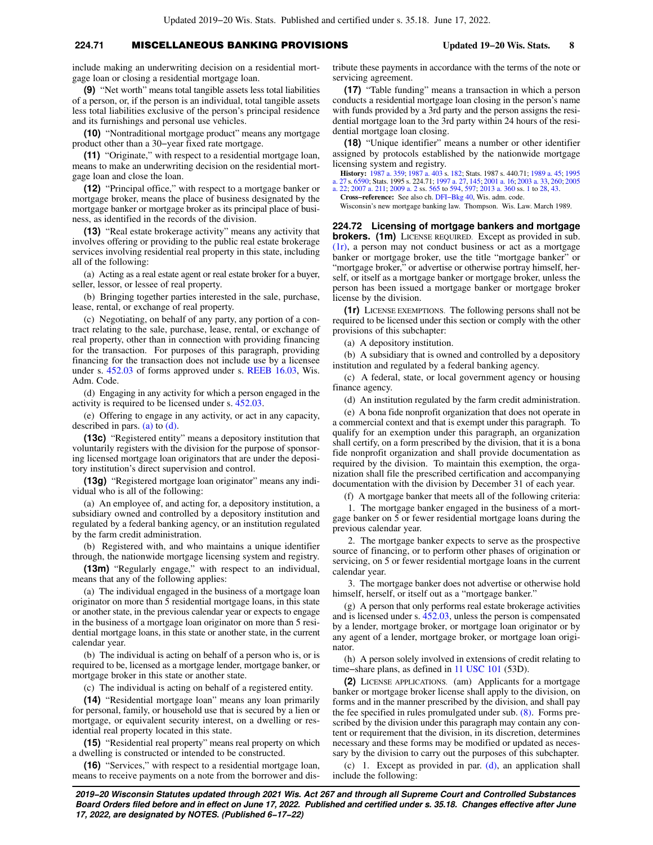# **224.71** MISCELLANEOUS BANKING PROVISIONS **Updated 19−20 Wis. Stats. 8**

include making an underwriting decision on a residential mortgage loan or closing a residential mortgage loan.

**(9)** "Net worth" means total tangible assets less total liabilities of a person, or, if the person is an individual, total tangible assets less total liabilities exclusive of the person's principal residence and its furnishings and personal use vehicles.

**(10)** "Nontraditional mortgage product" means any mortgage product other than a 30−year fixed rate mortgage.

**(11)** "Originate," with respect to a residential mortgage loan, means to make an underwriting decision on the residential mortgage loan and close the loan.

**(12)** "Principal office," with respect to a mortgage banker or mortgage broker, means the place of business designated by the mortgage banker or mortgage broker as its principal place of business, as identified in the records of the division.

**(13)** "Real estate brokerage activity" means any activity that involves offering or providing to the public real estate brokerage services involving residential real property in this state, including all of the following:

(a) Acting as a real estate agent or real estate broker for a buyer, seller, lessor, or lessee of real property.

(b) Bringing together parties interested in the sale, purchase, lease, rental, or exchange of real property.

(c) Negotiating, on behalf of any party, any portion of a contract relating to the sale, purchase, lease, rental, or exchange of real property, other than in connection with providing financing for the transaction. For purposes of this paragraph, providing financing for the transaction does not include use by a licensee under s. [452.03](https://docs.legis.wisconsin.gov/document/statutes/452.03) of forms approved under s. [REEB 16.03](https://docs.legis.wisconsin.gov/document/administrativecode/REEB%2016.03), Wis. Adm. Code.

(d) Engaging in any activity for which a person engaged in the activity is required to be licensed under s. [452.03.](https://docs.legis.wisconsin.gov/document/statutes/452.03)

(e) Offering to engage in any activity, or act in any capacity, described in pars. [\(a\)](https://docs.legis.wisconsin.gov/document/statutes/224.71(13)(a)) to [\(d\).](https://docs.legis.wisconsin.gov/document/statutes/224.71(13)(d))

**(13c)** "Registered entity" means a depository institution that voluntarily registers with the division for the purpose of sponsoring licensed mortgage loan originators that are under the depository institution's direct supervision and control.

**(13g)** "Registered mortgage loan originator" means any individual who is all of the following:

(a) An employee of, and acting for, a depository institution, a subsidiary owned and controlled by a depository institution and regulated by a federal banking agency, or an institution regulated by the farm credit administration.

(b) Registered with, and who maintains a unique identifier through, the nationwide mortgage licensing system and registry.

**(13m)** "Regularly engage," with respect to an individual, means that any of the following applies:

(a) The individual engaged in the business of a mortgage loan originator on more than 5 residential mortgage loans, in this state or another state, in the previous calendar year or expects to engage in the business of a mortgage loan originator on more than 5 residential mortgage loans, in this state or another state, in the current calendar year.

(b) The individual is acting on behalf of a person who is, or is required to be, licensed as a mortgage lender, mortgage banker, or mortgage broker in this state or another state.

(c) The individual is acting on behalf of a registered entity.

**(14)** "Residential mortgage loan" means any loan primarily for personal, family, or household use that is secured by a lien or mortgage, or equivalent security interest, on a dwelling or residential real property located in this state.

**(15)** "Residential real property" means real property on which a dwelling is constructed or intended to be constructed.

**(16)** "Services," with respect to a residential mortgage loan, means to receive payments on a note from the borrower and distribute these payments in accordance with the terms of the note or servicing agreement.

**(17)** "Table funding" means a transaction in which a person conducts a residential mortgage loan closing in the person's name with funds provided by a 3rd party and the person assigns the residential mortgage loan to the 3rd party within 24 hours of the residential mortgage loan closing.

**(18)** "Unique identifier" means a number or other identifier assigned by protocols established by the nationwide mortgage licensing system and registry.

**History:** [1987 a. 359](https://docs.legis.wisconsin.gov/document/acts/1987/359); [1987 a. 403](https://docs.legis.wisconsin.gov/document/acts/1987/403) s. [182](https://docs.legis.wisconsin.gov/document/acts/1987/403,%20s.%20182); Stats. 1987 s. 440.71; [1989 a. 45;](https://docs.legis.wisconsin.gov/document/acts/1989/45) [1995](https://docs.legis.wisconsin.gov/document/acts/1995/27) [a. 27](https://docs.legis.wisconsin.gov/document/acts/1995/27) s. [6590;](https://docs.legis.wisconsin.gov/document/acts/1995/27,%20s.%206590) Stats. 1995 s. 224.71; [1997 a. 27](https://docs.legis.wisconsin.gov/document/acts/1997/27), [145;](https://docs.legis.wisconsin.gov/document/acts/1997/145) [2001 a. 16](https://docs.legis.wisconsin.gov/document/acts/2001/16); [2003 a. 33,](https://docs.legis.wisconsin.gov/document/acts/2003/33) [260](https://docs.legis.wisconsin.gov/document/acts/2003/260); [2005](https://docs.legis.wisconsin.gov/document/acts/2005/22) [a. 22;](https://docs.legis.wisconsin.gov/document/acts/2005/22) [2007 a. 211](https://docs.legis.wisconsin.gov/document/acts/2007/211); [2009 a. 2](https://docs.legis.wisconsin.gov/document/acts/2009/2) ss. [565](https://docs.legis.wisconsin.gov/document/acts/2009/2,%20s.%20565) to [594](https://docs.legis.wisconsin.gov/document/acts/2009/2,%20s.%20594), [597;](https://docs.legis.wisconsin.gov/document/acts/2009/2,%20s.%20597) [2013 a. 360](https://docs.legis.wisconsin.gov/document/acts/2013/360) ss. [1](https://docs.legis.wisconsin.gov/document/acts/2013/360,%20s.%201) to [28](https://docs.legis.wisconsin.gov/document/acts/2013/360,%20s.%2028), [43.](https://docs.legis.wisconsin.gov/document/acts/2013/360,%20s.%2043)

**Cross−reference:** See also ch. [DFI−Bkg 40,](https://docs.legis.wisconsin.gov/document/administrativecode/ch.%20DFI-Bkg%2040) Wis. adm. code.

Wisconsin's new mortgage banking law. Thompson. Wis. Law. March 1989.

**224.72 Licensing of mortgage bankers and mortgage brokers. (1m)** LICENSE REQUIRED. Except as provided in sub. [\(1r\),](https://docs.legis.wisconsin.gov/document/statutes/224.72(1r)) a person may not conduct business or act as a mortgage banker or mortgage broker, use the title "mortgage banker" or "mortgage broker," or advertise or otherwise portray himself, herself, or itself as a mortgage banker or mortgage broker, unless the person has been issued a mortgage banker or mortgage broker license by the division.

**(1r)** LICENSE EXEMPTIONS. The following persons shall not be required to be licensed under this section or comply with the other provisions of this subchapter:

(a) A depository institution.

(b) A subsidiary that is owned and controlled by a depository institution and regulated by a federal banking agency.

(c) A federal, state, or local government agency or housing finance agency.

(d) An institution regulated by the farm credit administration.

(e) A bona fide nonprofit organization that does not operate in a commercial context and that is exempt under this paragraph. To qualify for an exemption under this paragraph, an organization shall certify, on a form prescribed by the division, that it is a bona fide nonprofit organization and shall provide documentation as required by the division. To maintain this exemption, the organization shall file the prescribed certification and accompanying documentation with the division by December 31 of each year.

(f) A mortgage banker that meets all of the following criteria:

1. The mortgage banker engaged in the business of a mortgage banker on 5 or fewer residential mortgage loans during the previous calendar year.

2. The mortgage banker expects to serve as the prospective source of financing, or to perform other phases of origination or servicing, on 5 or fewer residential mortgage loans in the current calendar year.

3. The mortgage banker does not advertise or otherwise hold himself, herself, or itself out as a "mortgage banker."

(g) A person that only performs real estate brokerage activities and is licensed under s. [452.03](https://docs.legis.wisconsin.gov/document/statutes/452.03), unless the person is compensated by a lender, mortgage broker, or mortgage loan originator or by any agent of a lender, mortgage broker, or mortgage loan originator.

(h) A person solely involved in extensions of credit relating to time−share plans, as defined in [11 USC 101](https://docs.legis.wisconsin.gov/document/usc/11%20USC%20101) (53D).

**(2)** LICENSE APPLICATIONS. (am) Applicants for a mortgage banker or mortgage broker license shall apply to the division, on forms and in the manner prescribed by the division, and shall pay the fee specified in rules promulgated under sub. [\(8\).](https://docs.legis.wisconsin.gov/document/statutes/224.72(8)) Forms prescribed by the division under this paragraph may contain any content or requirement that the division, in its discretion, determines necessary and these forms may be modified or updated as necessary by the division to carry out the purposes of this subchapter.

(c) 1. Except as provided in par. [\(d\)](https://docs.legis.wisconsin.gov/document/statutes/224.72(2)(d)), an application shall include the following: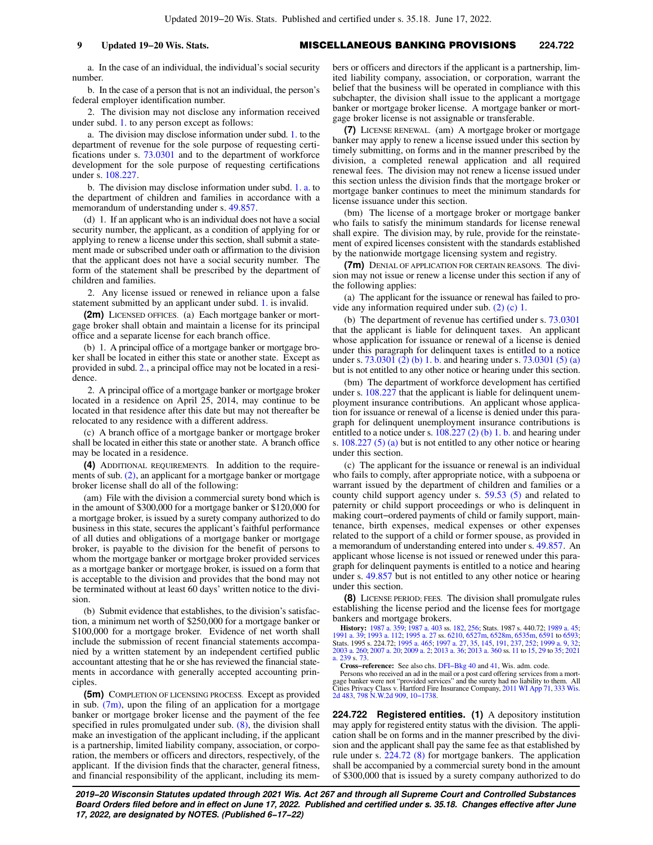a. In the case of an individual, the individual's social security number.

b. In the case of a person that is not an individual, the person's federal employer identification number.

2. The division may not disclose any information received under subd. [1.](https://docs.legis.wisconsin.gov/document/statutes/224.72(2)(c)1.) to any person except as follows:

a. The division may disclose information under subd. [1.](https://docs.legis.wisconsin.gov/document/statutes/224.72(2)(c)1.) to the department of revenue for the sole purpose of requesting certifications under s. [73.0301](https://docs.legis.wisconsin.gov/document/statutes/73.0301) and to the department of workforce development for the sole purpose of requesting certifications under s. [108.227](https://docs.legis.wisconsin.gov/document/statutes/108.227).

b. The division may disclose information under subd. [1. a.](https://docs.legis.wisconsin.gov/document/statutes/224.72(2)(c)1.a.) to the department of children and families in accordance with a memorandum of understanding under s. [49.857.](https://docs.legis.wisconsin.gov/document/statutes/49.857)

(d) 1. If an applicant who is an individual does not have a social security number, the applicant, as a condition of applying for or applying to renew a license under this section, shall submit a statement made or subscribed under oath or affirmation to the division that the applicant does not have a social security number. The form of the statement shall be prescribed by the department of children and families.

2. Any license issued or renewed in reliance upon a false statement submitted by an applicant under subd. [1.](https://docs.legis.wisconsin.gov/document/statutes/224.72(2)(d)1.) is invalid.

**(2m)** LICENSED OFFICES. (a) Each mortgage banker or mortgage broker shall obtain and maintain a license for its principal office and a separate license for each branch office.

(b) 1. A principal office of a mortgage banker or mortgage broker shall be located in either this state or another state. Except as provided in subd. [2.](https://docs.legis.wisconsin.gov/document/statutes/224.72(2m)(b)2.), a principal office may not be located in a residence.

2. A principal office of a mortgage banker or mortgage broker located in a residence on April 25, 2014, may continue to be located in that residence after this date but may not thereafter be relocated to any residence with a different address.

(c) A branch office of a mortgage banker or mortgage broker shall be located in either this state or another state. A branch office may be located in a residence.

**(4)** ADDITIONAL REQUIREMENTS. In addition to the requirements of sub. [\(2\)](https://docs.legis.wisconsin.gov/document/statutes/224.72(2)), an applicant for a mortgage banker or mortgage broker license shall do all of the following:

(am) File with the division a commercial surety bond which is in the amount of \$300,000 for a mortgage banker or \$120,000 for a mortgage broker, is issued by a surety company authorized to do business in this state, secures the applicant's faithful performance of all duties and obligations of a mortgage banker or mortgage broker, is payable to the division for the benefit of persons to whom the mortgage banker or mortgage broker provided services as a mortgage banker or mortgage broker, is issued on a form that is acceptable to the division and provides that the bond may not be terminated without at least 60 days' written notice to the division.

(b) Submit evidence that establishes, to the division's satisfaction, a minimum net worth of \$250,000 for a mortgage banker or \$100,000 for a mortgage broker. Evidence of net worth shall include the submission of recent financial statements accompanied by a written statement by an independent certified public accountant attesting that he or she has reviewed the financial statements in accordance with generally accepted accounting principles.

**(5m)** COMPLETION OF LICENSING PROCESS. Except as provided in sub.  $(7m)$ , upon the filing of an application for a mortgage banker or mortgage broker license and the payment of the fee specified in rules promulgated under sub. [\(8\),](https://docs.legis.wisconsin.gov/document/statutes/224.72(8)) the division shall make an investigation of the applicant including, if the applicant is a partnership, limited liability company, association, or corporation, the members or officers and directors, respectively, of the applicant. If the division finds that the character, general fitness, and financial responsibility of the applicant, including its members or officers and directors if the applicant is a partnership, limited liability company, association, or corporation, warrant the belief that the business will be operated in compliance with this subchapter, the division shall issue to the applicant a mortgage banker or mortgage broker license. A mortgage banker or mortgage broker license is not assignable or transferable.

**(7)** LICENSE RENEWAL. (am) A mortgage broker or mortgage banker may apply to renew a license issued under this section by timely submitting, on forms and in the manner prescribed by the division, a completed renewal application and all required renewal fees. The division may not renew a license issued under this section unless the division finds that the mortgage broker or mortgage banker continues to meet the minimum standards for license issuance under this section.

(bm) The license of a mortgage broker or mortgage banker who fails to satisfy the minimum standards for license renewal shall expire. The division may, by rule, provide for the reinstatement of expired licenses consistent with the standards established by the nationwide mortgage licensing system and registry.

**(7m)** DENIAL OF APPLICATION FOR CERTAIN REASONS. The division may not issue or renew a license under this section if any of the following applies:

(a) The applicant for the issuance or renewal has failed to provide any information required under sub. [\(2\) \(c\) 1.](https://docs.legis.wisconsin.gov/document/statutes/224.72(2)(c)1.)

(b) The department of revenue has certified under s. [73.0301](https://docs.legis.wisconsin.gov/document/statutes/73.0301) that the applicant is liable for delinquent taxes. An applicant whose application for issuance or renewal of a license is denied under this paragraph for delinquent taxes is entitled to a notice under s. [73.0301 \(2\) \(b\) 1. b.](https://docs.legis.wisconsin.gov/document/statutes/73.0301(2)(b)1.b.) and hearing under s. [73.0301 \(5\) \(a\)](https://docs.legis.wisconsin.gov/document/statutes/73.0301(5)(a)) but is not entitled to any other notice or hearing under this section.

(bm) The department of workforce development has certified under s. [108.227](https://docs.legis.wisconsin.gov/document/statutes/108.227) that the applicant is liable for delinquent unemployment insurance contributions. An applicant whose application for issuance or renewal of a license is denied under this paragraph for delinquent unemployment insurance contributions is entitled to a notice under s. [108.227 \(2\) \(b\) 1. b.](https://docs.legis.wisconsin.gov/document/statutes/108.227(2)(b)1.b.) and hearing under s. [108.227 \(5\) \(a\)](https://docs.legis.wisconsin.gov/document/statutes/108.227(5)(a)) but is not entitled to any other notice or hearing under this section.

(c) The applicant for the issuance or renewal is an individual who fails to comply, after appropriate notice, with a subpoena or warrant issued by the department of children and families or a county child support agency under s. [59.53 \(5\)](https://docs.legis.wisconsin.gov/document/statutes/59.53(5)) and related to paternity or child support proceedings or who is delinquent in making court−ordered payments of child or family support, maintenance, birth expenses, medical expenses or other expenses related to the support of a child or former spouse, as provided in a memorandum of understanding entered into under s. [49.857](https://docs.legis.wisconsin.gov/document/statutes/49.857). An applicant whose license is not issued or renewed under this paragraph for delinquent payments is entitled to a notice and hearing under s. [49.857](https://docs.legis.wisconsin.gov/document/statutes/49.857) but is not entitled to any other notice or hearing under this section.

**(8)** LICENSE PERIOD; FEES. The division shall promulgate rules establishing the license period and the license fees for mortgage bankers and mortgage brokers.

**History:** [1987 a. 359](https://docs.legis.wisconsin.gov/document/acts/1987/359); [1987 a. 403](https://docs.legis.wisconsin.gov/document/acts/1987/403) ss. [182](https://docs.legis.wisconsin.gov/document/acts/1987/403,%20s.%20182), [256](https://docs.legis.wisconsin.gov/document/acts/1987/403,%20s.%20256); Stats. 1987 s. 440.72; [1989 a. 45](https://docs.legis.wisconsin.gov/document/acts/1989/45);<br>[1991 a. 39](https://docs.legis.wisconsin.gov/document/acts/1991/39); [1993 a. 112;](https://docs.legis.wisconsin.gov/document/acts/1993/112) [1995 a. 27](https://docs.legis.wisconsin.gov/document/acts/1995/27) ss. [6210,](https://docs.legis.wisconsin.gov/document/acts/1995/27,%20s.%206210) [6527m,](https://docs.legis.wisconsin.gov/document/acts/1995/27,%20s.%206527m) [6528m,](https://docs.legis.wisconsin.gov/document/acts/1995/27,%20s.%206528m) [6535m](https://docs.legis.wisconsin.gov/document/acts/1995/27,%20s.%206535m), [6591](https://docs.legis.wisconsin.gov/document/acts/1995/27,%20s.%206591) to [6593](https://docs.legis.wisconsin.gov/document/acts/1995/27,%20s.%206593);<br>Stats. 1995 s. 224.72; [1995 a. 465](https://docs.legis.wisconsin.gov/document/acts/1995/465); [1997 a. 27,](https://docs.legis.wisconsin.gov/document/acts/1997/27) [35,](https://docs.legis.wisconsin.gov/document/acts/1997/35) [145,](https://docs.legis.wisconsin.gov/document/acts/1997/145) [a. 239](https://docs.legis.wisconsin.gov/document/acts/2021/239) s. [73](https://docs.legis.wisconsin.gov/document/acts/2021/239,%20s.%2073).

**Cross-reference:** See also chs. DFI-Bkg 40 and [41,](https://docs.legis.wisconsin.gov/document/administrativecode/ch.%20DFI-Bkg%2041) Wis. adm. code.<br>Persons who received an ad in the mail or a post card offering services from a mort-<br>gage banker were not "provided services" and the surety had no liabil Cities Privacy Class v. Hartford Fire Insurance Company, [2011 WI App 71,](https://docs.legis.wisconsin.gov/document/courts/2011%20WI%20App%2071) [333 Wis.](https://docs.legis.wisconsin.gov/document/courts/333%20Wis.%202d%20483) [2d 483](https://docs.legis.wisconsin.gov/document/courts/333%20Wis.%202d%20483), [798 N.W.2d 909,](https://docs.legis.wisconsin.gov/document/courts/798%20N.W.2d%20909) [10−1738](https://docs.legis.wisconsin.gov/document/wicourtofappeals/10-1738).

**224.722 Registered entities. (1)** A depository institution may apply for registered entity status with the division. The application shall be on forms and in the manner prescribed by the division and the applicant shall pay the same fee as that established by rule under s. [224.72 \(8\)](https://docs.legis.wisconsin.gov/document/statutes/224.72(8)) for mortgage bankers. The application shall be accompanied by a commercial surety bond in the amount of \$300,000 that is issued by a surety company authorized to do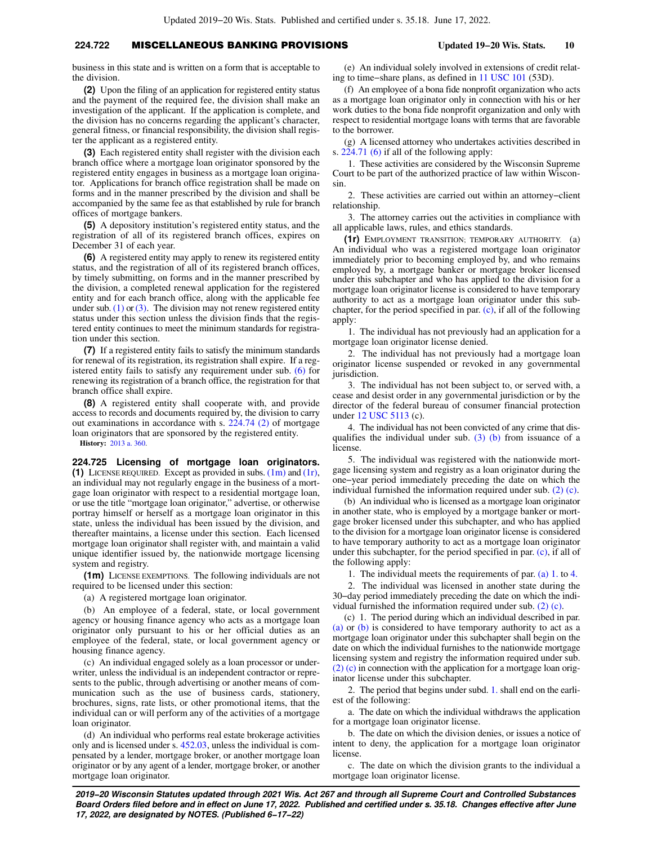## **224.722** MISCELLANEOUS BANKING PROVISIONS **Updated 19−20 Wis. Stats. 10**

business in this state and is written on a form that is acceptable to the division.

**(2)** Upon the filing of an application for registered entity status and the payment of the required fee, the division shall make an investigation of the applicant. If the application is complete, and the division has no concerns regarding the applicant's character, general fitness, or financial responsibility, the division shall register the applicant as a registered entity.

**(3)** Each registered entity shall register with the division each branch office where a mortgage loan originator sponsored by the registered entity engages in business as a mortgage loan originator. Applications for branch office registration shall be made on forms and in the manner prescribed by the division and shall be accompanied by the same fee as that established by rule for branch offices of mortgage bankers.

**(5)** A depository institution's registered entity status, and the registration of all of its registered branch offices, expires on December 31 of each year.

**(6)** A registered entity may apply to renew its registered entity status, and the registration of all of its registered branch offices, by timely submitting, on forms and in the manner prescribed by the division, a completed renewal application for the registered entity and for each branch office, along with the applicable fee under sub.  $(1)$  or  $(3)$ . The division may not renew registered entity status under this section unless the division finds that the registered entity continues to meet the minimum standards for registration under this section.

**(7)** If a registered entity fails to satisfy the minimum standards for renewal of its registration, its registration shall expire. If a registered entity fails to satisfy any requirement under sub. [\(6\)](https://docs.legis.wisconsin.gov/document/statutes/224.722(6)) for renewing its registration of a branch office, the registration for that branch office shall expire.

**(8)** A registered entity shall cooperate with, and provide access to records and documents required by, the division to carry out examinations in accordance with s. [224.74 \(2\)](https://docs.legis.wisconsin.gov/document/statutes/224.74(2)) of mortgage loan originators that are sponsored by the registered entity.

**History:** [2013 a. 360](https://docs.legis.wisconsin.gov/document/acts/2013/360).

**224.725 Licensing of mortgage loan originators. (1)** LICENSE REQUIRED. Except as provided in subs. [\(1m\)](https://docs.legis.wisconsin.gov/document/statutes/224.725(1m)) and [\(1r\),](https://docs.legis.wisconsin.gov/document/statutes/224.725(1r)) an individual may not regularly engage in the business of a mortgage loan originator with respect to a residential mortgage loan, or use the title "mortgage loan originator," advertise, or otherwise portray himself or herself as a mortgage loan originator in this state, unless the individual has been issued by the division, and thereafter maintains, a license under this section. Each licensed mortgage loan originator shall register with, and maintain a valid unique identifier issued by, the nationwide mortgage licensing system and registry.

**(1m)** LICENSE EXEMPTIONS. The following individuals are not required to be licensed under this section:

(a) A registered mortgage loan originator.

(b) An employee of a federal, state, or local government agency or housing finance agency who acts as a mortgage loan originator only pursuant to his or her official duties as an employee of the federal, state, or local government agency or housing finance agency.

(c) An individual engaged solely as a loan processor or underwriter, unless the individual is an independent contractor or represents to the public, through advertising or another means of communication such as the use of business cards, stationery, brochures, signs, rate lists, or other promotional items, that the individual can or will perform any of the activities of a mortgage loan originator.

(d) An individual who performs real estate brokerage activities only and is licensed under s. [452.03](https://docs.legis.wisconsin.gov/document/statutes/452.03), unless the individual is compensated by a lender, mortgage broker, or another mortgage loan originator or by any agent of a lender, mortgage broker, or another mortgage loan originator.

(e) An individual solely involved in extensions of credit relating to time−share plans, as defined in [11 USC 101](https://docs.legis.wisconsin.gov/document/usc/11%20USC%20101) (53D).

(f) An employee of a bona fide nonprofit organization who acts as a mortgage loan originator only in connection with his or her work duties to the bona fide nonprofit organization and only with respect to residential mortgage loans with terms that are favorable to the borrower.

(g) A licensed attorney who undertakes activities described in s. [224.71 \(6\)](https://docs.legis.wisconsin.gov/document/statutes/224.71(6)) if all of the following apply:

1. These activities are considered by the Wisconsin Supreme Court to be part of the authorized practice of law within Wisconsin.

2. These activities are carried out within an attorney−client relationship.

3. The attorney carries out the activities in compliance with all applicable laws, rules, and ethics standards.

**(1r)** EMPLOYMENT TRANSITION; TEMPORARY AUTHORITY. (a) An individual who was a registered mortgage loan originator immediately prior to becoming employed by, and who remains employed by, a mortgage banker or mortgage broker licensed under this subchapter and who has applied to the division for a mortgage loan originator license is considered to have temporary authority to act as a mortgage loan originator under this subchapter, for the period specified in par. [\(c\)](https://docs.legis.wisconsin.gov/document/statutes/224.725(1r)(c)), if all of the following apply:

1. The individual has not previously had an application for a mortgage loan originator license denied.

2. The individual has not previously had a mortgage loan originator license suspended or revoked in any governmental jurisdiction.

3. The individual has not been subject to, or served with, a cease and desist order in any governmental jurisdiction or by the director of the federal bureau of consumer financial protection under [12 USC 5113](https://docs.legis.wisconsin.gov/document/usc/12%20USC%205113) (c).

4. The individual has not been convicted of any crime that disqualifies the individual under sub.  $(3)$  (b) from issuance of a license.

5. The individual was registered with the nationwide mortgage licensing system and registry as a loan originator during the one−year period immediately preceding the date on which the individual furnished the information required under sub. [\(2\) \(c\).](https://docs.legis.wisconsin.gov/document/statutes/224.725(2)(c))

(b) An individual who is licensed as a mortgage loan originator in another state, who is employed by a mortgage banker or mortgage broker licensed under this subchapter, and who has applied to the division for a mortgage loan originator license is considered to have temporary authority to act as a mortgage loan originator under this subchapter, for the period specified in par. [\(c\),](https://docs.legis.wisconsin.gov/document/statutes/224.725(1r)(c)) if all of the following apply:

1. The individual meets the requirements of par. [\(a\) 1.](https://docs.legis.wisconsin.gov/document/statutes/224.725(1r)(a)1.) to [4.](https://docs.legis.wisconsin.gov/document/statutes/224.725(1r)(a)4.)

2. The individual was licensed in another state during the 30−day period immediately preceding the date on which the individual furnished the information required under sub. [\(2\) \(c\).](https://docs.legis.wisconsin.gov/document/statutes/224.725(2)(c))

(c) 1. The period during which an individual described in par. [\(a\)](https://docs.legis.wisconsin.gov/document/statutes/224.725(1r)(a)) or [\(b\)](https://docs.legis.wisconsin.gov/document/statutes/224.725(1r)(b)) is considered to have temporary authority to act as a mortgage loan originator under this subchapter shall begin on the date on which the individual furnishes to the nationwide mortgage licensing system and registry the information required under sub. [\(2\) \(c\)](https://docs.legis.wisconsin.gov/document/statutes/224.725(2)(c)) in connection with the application for a mortgage loan originator license under this subchapter.

2. The period that begins under subd. [1.](https://docs.legis.wisconsin.gov/document/statutes/224.725(1r)(c)1.) shall end on the earliest of the following:

a. The date on which the individual withdraws the application for a mortgage loan originator license.

b. The date on which the division denies, or issues a notice of intent to deny, the application for a mortgage loan originator license.

c. The date on which the division grants to the individual a mortgage loan originator license.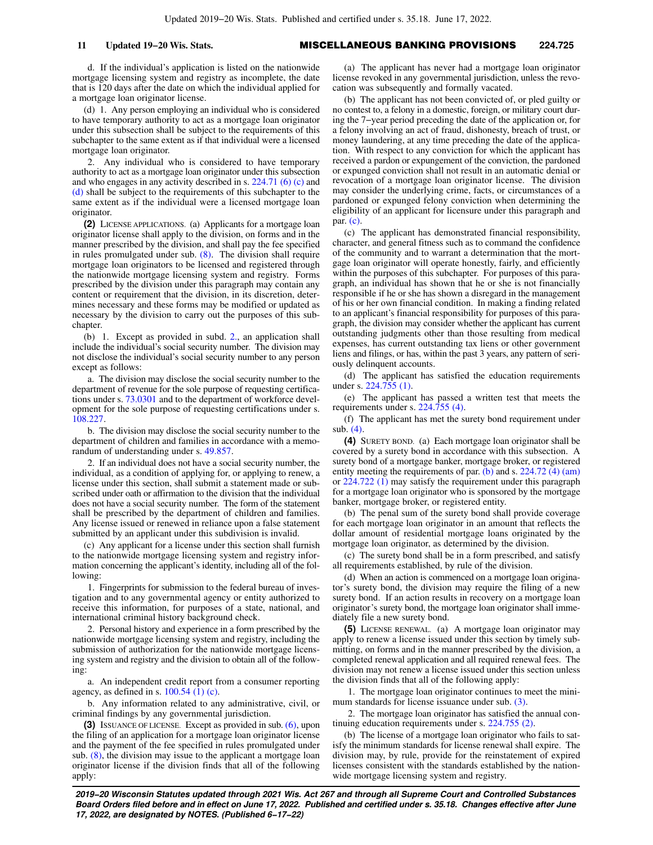d. If the individual's application is listed on the nationwide mortgage licensing system and registry as incomplete, the date that is 120 days after the date on which the individual applied for a mortgage loan originator license.

(d) 1. Any person employing an individual who is considered to have temporary authority to act as a mortgage loan originator under this subsection shall be subject to the requirements of this subchapter to the same extent as if that individual were a licensed mortgage loan originator.

2. Any individual who is considered to have temporary authority to act as a mortgage loan originator under this subsection and who engages in any activity described in s. [224.71 \(6\) \(c\)](https://docs.legis.wisconsin.gov/document/statutes/224.71(6)(c)) and [\(d\)](https://docs.legis.wisconsin.gov/document/statutes/224.71(6)(d)) shall be subject to the requirements of this subchapter to the same extent as if the individual were a licensed mortgage loan originator.

**(2)** LICENSE APPLICATIONS. (a) Applicants for a mortgage loan originator license shall apply to the division, on forms and in the manner prescribed by the division, and shall pay the fee specified in rules promulgated under sub. [\(8\)](https://docs.legis.wisconsin.gov/document/statutes/224.725(8)). The division shall require mortgage loan originators to be licensed and registered through the nationwide mortgage licensing system and registry. Forms prescribed by the division under this paragraph may contain any content or requirement that the division, in its discretion, determines necessary and these forms may be modified or updated as necessary by the division to carry out the purposes of this subchapter.

(b) 1. Except as provided in subd. [2.,](https://docs.legis.wisconsin.gov/document/statutes/224.725(2)(b)2.) an application shall include the individual's social security number. The division may not disclose the individual's social security number to any person except as follows:

a. The division may disclose the social security number to the department of revenue for the sole purpose of requesting certifications under s. [73.0301](https://docs.legis.wisconsin.gov/document/statutes/73.0301) and to the department of workforce development for the sole purpose of requesting certifications under s. [108.227](https://docs.legis.wisconsin.gov/document/statutes/108.227).

b. The division may disclose the social security number to the department of children and families in accordance with a memorandum of understanding under s. [49.857.](https://docs.legis.wisconsin.gov/document/statutes/49.857)

2. If an individual does not have a social security number, the individual, as a condition of applying for, or applying to renew, a license under this section, shall submit a statement made or subscribed under oath or affirmation to the division that the individual does not have a social security number. The form of the statement shall be prescribed by the department of children and families. Any license issued or renewed in reliance upon a false statement submitted by an applicant under this subdivision is invalid.

(c) Any applicant for a license under this section shall furnish to the nationwide mortgage licensing system and registry information concerning the applicant's identity, including all of the following:

1. Fingerprints for submission to the federal bureau of investigation and to any governmental agency or entity authorized to receive this information, for purposes of a state, national, and international criminal history background check.

2. Personal history and experience in a form prescribed by the nationwide mortgage licensing system and registry, including the submission of authorization for the nationwide mortgage licensing system and registry and the division to obtain all of the following:

a. An independent credit report from a consumer reporting agency, as defined in s.  $100.54$  (1) (c).

b. Any information related to any administrative, civil, or criminal findings by any governmental jurisdiction.

**(3)** ISSUANCE OF LICENSE. Except as provided in sub. [\(6\)](https://docs.legis.wisconsin.gov/document/statutes/224.725(6)), upon the filing of an application for a mortgage loan originator license and the payment of the fee specified in rules promulgated under sub. [\(8\)](https://docs.legis.wisconsin.gov/document/statutes/224.725(8)), the division may issue to the applicant a mortgage loan originator license if the division finds that all of the following apply:

(a) The applicant has never had a mortgage loan originator license revoked in any governmental jurisdiction, unless the revocation was subsequently and formally vacated.

(b) The applicant has not been convicted of, or pled guilty or no contest to, a felony in a domestic, foreign, or military court during the 7−year period preceding the date of the application or, for a felony involving an act of fraud, dishonesty, breach of trust, or money laundering, at any time preceding the date of the application. With respect to any conviction for which the applicant has received a pardon or expungement of the conviction, the pardoned or expunged conviction shall not result in an automatic denial or revocation of a mortgage loan originator license. The division may consider the underlying crime, facts, or circumstances of a pardoned or expunged felony conviction when determining the eligibility of an applicant for licensure under this paragraph and par. [\(c\).](https://docs.legis.wisconsin.gov/document/statutes/224.725(3)(c))

(c) The applicant has demonstrated financial responsibility, character, and general fitness such as to command the confidence of the community and to warrant a determination that the mortgage loan originator will operate honestly, fairly, and efficiently within the purposes of this subchapter. For purposes of this paragraph, an individual has shown that he or she is not financially responsible if he or she has shown a disregard in the management of his or her own financial condition. In making a finding related to an applicant's financial responsibility for purposes of this paragraph, the division may consider whether the applicant has current outstanding judgments other than those resulting from medical expenses, has current outstanding tax liens or other government liens and filings, or has, within the past 3 years, any pattern of seriously delinquent accounts.

(d) The applicant has satisfied the education requirements under s. [224.755 \(1\)](https://docs.legis.wisconsin.gov/document/statutes/224.755(1)).

(e) The applicant has passed a written test that meets the requirements under s. [224.755 \(4\).](https://docs.legis.wisconsin.gov/document/statutes/224.755(4))

(f) The applicant has met the surety bond requirement under sub. [\(4\).](https://docs.legis.wisconsin.gov/document/statutes/224.725(4))

**(4)** SURETY BOND. (a) Each mortgage loan originator shall be covered by a surety bond in accordance with this subsection. A surety bond of a mortgage banker, mortgage broker, or registered entity meeting the requirements of par. [\(b\)](https://docs.legis.wisconsin.gov/document/statutes/224.725(4)(b)) and s. [224.72 \(4\) \(am\)](https://docs.legis.wisconsin.gov/document/statutes/224.72(4)(am)) or [224.722 \(1\)](https://docs.legis.wisconsin.gov/document/statutes/224.722(1)) may satisfy the requirement under this paragraph for a mortgage loan originator who is sponsored by the mortgage banker, mortgage broker, or registered entity.

(b) The penal sum of the surety bond shall provide coverage for each mortgage loan originator in an amount that reflects the dollar amount of residential mortgage loans originated by the mortgage loan originator, as determined by the division.

(c) The surety bond shall be in a form prescribed, and satisfy all requirements established, by rule of the division.

(d) When an action is commenced on a mortgage loan originator's surety bond, the division may require the filing of a new surety bond. If an action results in recovery on a mortgage loan originator's surety bond, the mortgage loan originator shall immediately file a new surety bond.

**(5)** LICENSE RENEWAL. (a) A mortgage loan originator may apply to renew a license issued under this section by timely submitting, on forms and in the manner prescribed by the division, a completed renewal application and all required renewal fees. The division may not renew a license issued under this section unless the division finds that all of the following apply:

1. The mortgage loan originator continues to meet the mini-mum standards for license issuance under sub. [\(3\)](https://docs.legis.wisconsin.gov/document/statutes/224.725(3)).

2. The mortgage loan originator has satisfied the annual continuing education requirements under s. [224.755 \(2\)](https://docs.legis.wisconsin.gov/document/statutes/224.755(2)).

(b) The license of a mortgage loan originator who fails to satisfy the minimum standards for license renewal shall expire. The division may, by rule, provide for the reinstatement of expired licenses consistent with the standards established by the nationwide mortgage licensing system and registry.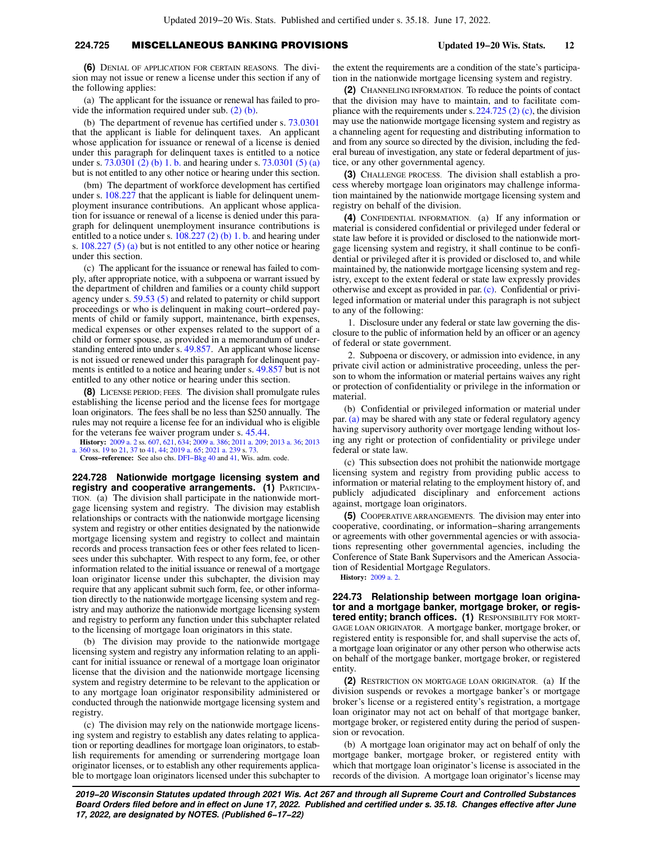## **224.725** MISCELLANEOUS BANKING PROVISIONS **Updated 19−20 Wis. Stats. 12**

**(6)** DENIAL OF APPLICATION FOR CERTAIN REASONS. The division may not issue or renew a license under this section if any of the following applies:

(a) The applicant for the issuance or renewal has failed to provide the information required under sub. [\(2\) \(b\).](https://docs.legis.wisconsin.gov/document/statutes/224.725(2)(b))

(b) The department of revenue has certified under s. [73.0301](https://docs.legis.wisconsin.gov/document/statutes/73.0301) that the applicant is liable for delinquent taxes. An applicant whose application for issuance or renewal of a license is denied under this paragraph for delinquent taxes is entitled to a notice under s. [73.0301 \(2\) \(b\) 1. b.](https://docs.legis.wisconsin.gov/document/statutes/73.0301(2)(b)1.b.) and hearing under s. [73.0301 \(5\) \(a\)](https://docs.legis.wisconsin.gov/document/statutes/73.0301(5)(a)) but is not entitled to any other notice or hearing under this section.

(bm) The department of workforce development has certified under s. [108.227](https://docs.legis.wisconsin.gov/document/statutes/108.227) that the applicant is liable for delinquent unemployment insurance contributions. An applicant whose application for issuance or renewal of a license is denied under this paragraph for delinquent unemployment insurance contributions is entitled to a notice under s.  $108.227$  (2) (b) 1. b. and hearing under s. [108.227 \(5\) \(a\)](https://docs.legis.wisconsin.gov/document/statutes/108.227(5)(a)) but is not entitled to any other notice or hearing under this section.

(c) The applicant for the issuance or renewal has failed to comply, after appropriate notice, with a subpoena or warrant issued by the department of children and families or a county child support agency under s. [59.53 \(5\)](https://docs.legis.wisconsin.gov/document/statutes/59.53(5)) and related to paternity or child support proceedings or who is delinquent in making court−ordered payments of child or family support, maintenance, birth expenses, medical expenses or other expenses related to the support of a child or former spouse, as provided in a memorandum of understanding entered into under s. [49.857.](https://docs.legis.wisconsin.gov/document/statutes/49.857) An applicant whose license is not issued or renewed under this paragraph for delinquent payments is entitled to a notice and hearing under s. [49.857](https://docs.legis.wisconsin.gov/document/statutes/49.857) but is not entitled to any other notice or hearing under this section.

**(8)** LICENSE PERIOD; FEES. The division shall promulgate rules establishing the license period and the license fees for mortgage loan originators. The fees shall be no less than \$250 annually. The rules may not require a license fee for an individual who is eligible for the veterans fee waiver program under s. [45.44.](https://docs.legis.wisconsin.gov/document/statutes/45.44)

**History:** [2009 a. 2](https://docs.legis.wisconsin.gov/document/acts/2009/2) ss. [607,](https://docs.legis.wisconsin.gov/document/acts/2009/2,%20s.%20607) [621,](https://docs.legis.wisconsin.gov/document/acts/2009/2,%20s.%20621) [634](https://docs.legis.wisconsin.gov/document/acts/2009/2,%20s.%20634); [2009 a. 386;](https://docs.legis.wisconsin.gov/document/acts/2009/386) [2011 a. 209;](https://docs.legis.wisconsin.gov/document/acts/2011/209) [2013 a. 36](https://docs.legis.wisconsin.gov/document/acts/2013/36); [2013](https://docs.legis.wisconsin.gov/document/acts/2013/360) [a. 360](https://docs.legis.wisconsin.gov/document/acts/2013/360) ss. [19](https://docs.legis.wisconsin.gov/document/acts/2013/360,%20s.%2019) to [21,](https://docs.legis.wisconsin.gov/document/acts/2013/360,%20s.%2021) [37](https://docs.legis.wisconsin.gov/document/acts/2013/360,%20s.%2037) to [41](https://docs.legis.wisconsin.gov/document/acts/2013/360,%20s.%2041), [44;](https://docs.legis.wisconsin.gov/document/acts/2013/360,%20s.%2044) [2019 a. 65;](https://docs.legis.wisconsin.gov/document/acts/2019/65) [2021 a. 239](https://docs.legis.wisconsin.gov/document/acts/2021/239) s. [73.](https://docs.legis.wisconsin.gov/document/acts/2021/239,%20s.%2073)

**Cross−reference:** See also chs. [DFI−Bkg 40](https://docs.legis.wisconsin.gov/document/administrativecode/ch.%20DFI-Bkg%2040) and [41,](https://docs.legis.wisconsin.gov/document/administrativecode/ch.%20DFI-Bkg%2041) Wis. adm. code.

**224.728 Nationwide mortgage licensing system and registry and cooperative arrangements. (1)** PARTICIPA-TION. (a) The division shall participate in the nationwide mortgage licensing system and registry. The division may establish relationships or contracts with the nationwide mortgage licensing system and registry or other entities designated by the nationwide mortgage licensing system and registry to collect and maintain records and process transaction fees or other fees related to licensees under this subchapter. With respect to any form, fee, or other information related to the initial issuance or renewal of a mortgage loan originator license under this subchapter, the division may require that any applicant submit such form, fee, or other information directly to the nationwide mortgage licensing system and registry and may authorize the nationwide mortgage licensing system and registry to perform any function under this subchapter related to the licensing of mortgage loan originators in this state.

(b) The division may provide to the nationwide mortgage licensing system and registry any information relating to an applicant for initial issuance or renewal of a mortgage loan originator license that the division and the nationwide mortgage licensing system and registry determine to be relevant to the application or to any mortgage loan originator responsibility administered or conducted through the nationwide mortgage licensing system and registry.

(c) The division may rely on the nationwide mortgage licensing system and registry to establish any dates relating to application or reporting deadlines for mortgage loan originators, to establish requirements for amending or surrendering mortgage loan originator licenses, or to establish any other requirements applicable to mortgage loan originators licensed under this subchapter to the extent the requirements are a condition of the state's participation in the nationwide mortgage licensing system and registry.

**(2)** CHANNELING INFORMATION. To reduce the points of contact that the division may have to maintain, and to facilitate compliance with the requirements under s.[224.725 \(2\) \(c\)](https://docs.legis.wisconsin.gov/document/statutes/224.725(2)(c)), the division may use the nationwide mortgage licensing system and registry as a channeling agent for requesting and distributing information to and from any source so directed by the division, including the federal bureau of investigation, any state or federal department of justice, or any other governmental agency.

**(3)** CHALLENGE PROCESS. The division shall establish a process whereby mortgage loan originators may challenge information maintained by the nationwide mortgage licensing system and registry on behalf of the division.

**(4)** CONFIDENTIAL INFORMATION. (a) If any information or material is considered confidential or privileged under federal or state law before it is provided or disclosed to the nationwide mortgage licensing system and registry, it shall continue to be confidential or privileged after it is provided or disclosed to, and while maintained by, the nationwide mortgage licensing system and registry, except to the extent federal or state law expressly provides otherwise and except as provided in par. [\(c\).](https://docs.legis.wisconsin.gov/document/statutes/224.728(4)(c)) Confidential or privileged information or material under this paragraph is not subject to any of the following:

1. Disclosure under any federal or state law governing the disclosure to the public of information held by an officer or an agency of federal or state government.

2. Subpoena or discovery, or admission into evidence, in any private civil action or administrative proceeding, unless the person to whom the information or material pertains waives any right or protection of confidentiality or privilege in the information or material.

(b) Confidential or privileged information or material under par. [\(a\)](https://docs.legis.wisconsin.gov/document/statutes/224.728(4)(a)) may be shared with any state or federal regulatory agency having supervisory authority over mortgage lending without losing any right or protection of confidentiality or privilege under federal or state law.

(c) This subsection does not prohibit the nationwide mortgage licensing system and registry from providing public access to information or material relating to the employment history of, and publicly adjudicated disciplinary and enforcement actions against, mortgage loan originators.

**(5)** COOPERATIVE ARRANGEMENTS. The division may enter into cooperative, coordinating, or information−sharing arrangements or agreements with other governmental agencies or with associations representing other governmental agencies, including the Conference of State Bank Supervisors and the American Association of Residential Mortgage Regulators. **History:** [2009 a. 2.](https://docs.legis.wisconsin.gov/document/acts/2009/2)

**224.73 Relationship between mortgage loan originator and a mortgage banker, mortgage broker, or registered entity; branch offices. (1)** RESPONSIBILITY FOR MORT-GAGE LOAN ORIGINATOR. A mortgage banker, mortgage broker, or registered entity is responsible for, and shall supervise the acts of, a mortgage loan originator or any other person who otherwise acts on behalf of the mortgage banker, mortgage broker, or registered entity

**(2)** RESTRICTION ON MORTGAGE LOAN ORIGINATOR. (a) If the division suspends or revokes a mortgage banker's or mortgage broker's license or a registered entity's registration, a mortgage loan originator may not act on behalf of that mortgage banker, mortgage broker, or registered entity during the period of suspension or revocation.

(b) A mortgage loan originator may act on behalf of only the mortgage banker, mortgage broker, or registered entity with which that mortgage loan originator's license is associated in the records of the division. A mortgage loan originator's license may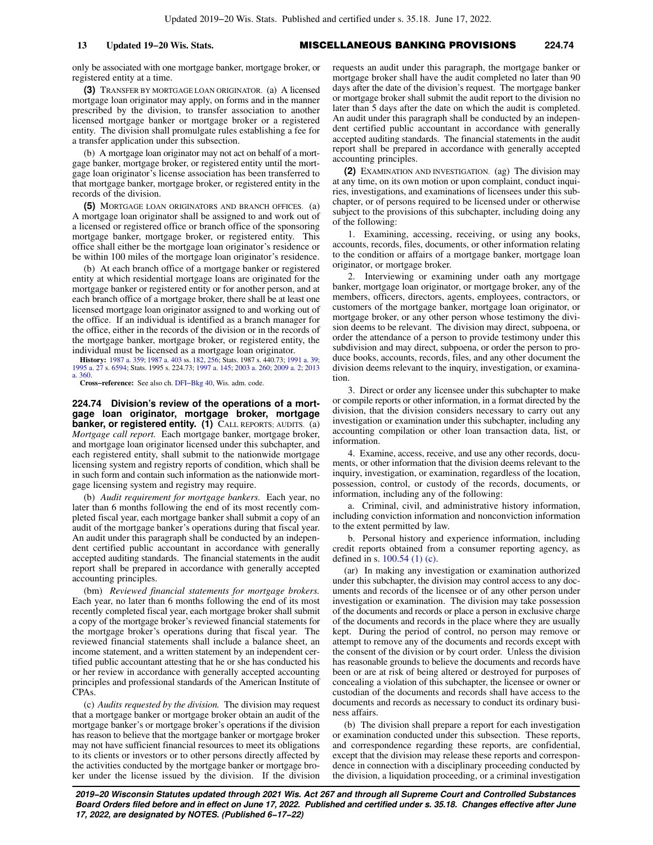## **13 Updated 19−20 Wis. Stats.** MISCELLANEOUS BANKING PROVISIONS **224.74**

only be associated with one mortgage banker, mortgage broker, or registered entity at a time.

**(3)** TRANSFER BY MORTGAGE LOAN ORIGINATOR. (a) A licensed mortgage loan originator may apply, on forms and in the manner prescribed by the division, to transfer association to another licensed mortgage banker or mortgage broker or a registered entity. The division shall promulgate rules establishing a fee for a transfer application under this subsection.

(b) A mortgage loan originator may not act on behalf of a mortgage banker, mortgage broker, or registered entity until the mortgage loan originator's license association has been transferred to that mortgage banker, mortgage broker, or registered entity in the records of the division.

**(5)** MORTGAGE LOAN ORIGINATORS AND BRANCH OFFICES. (a) A mortgage loan originator shall be assigned to and work out of a licensed or registered office or branch office of the sponsoring mortgage banker, mortgage broker, or registered entity. This office shall either be the mortgage loan originator's residence or be within 100 miles of the mortgage loan originator's residence.

(b) At each branch office of a mortgage banker or registered entity at which residential mortgage loans are originated for the mortgage banker or registered entity or for another person, and at each branch office of a mortgage broker, there shall be at least one licensed mortgage loan originator assigned to and working out of the office. If an individual is identified as a branch manager for the office, either in the records of the division or in the records of the mortgage banker, mortgage broker, or registered entity, the individual must be licensed as a mortgage loan originator.

**History:** [1987 a. 359;](https://docs.legis.wisconsin.gov/document/acts/1987/359) [1987 a. 403](https://docs.legis.wisconsin.gov/document/acts/1987/403) ss. [182](https://docs.legis.wisconsin.gov/document/acts/1987/403,%20s.%20182), [256](https://docs.legis.wisconsin.gov/document/acts/1987/403,%20s.%20256); Stats. 1987 s. 440.73; [1991 a. 39](https://docs.legis.wisconsin.gov/document/acts/1991/39); [1995 a. 27](https://docs.legis.wisconsin.gov/document/acts/1995/27) s. [6594;](https://docs.legis.wisconsin.gov/document/acts/1995/27,%20s.%206594) Stats. 1995 s. 224.73; [1997 a. 145;](https://docs.legis.wisconsin.gov/document/acts/1997/145) [2003 a. 260](https://docs.legis.wisconsin.gov/document/acts/2003/260); [2009 a. 2](https://docs.legis.wisconsin.gov/document/acts/2009/2); [2013](https://docs.legis.wisconsin.gov/document/acts/2013/360) [a. 360.](https://docs.legis.wisconsin.gov/document/acts/2013/360)

**Cross−reference:** See also ch. [DFI−Bkg 40](https://docs.legis.wisconsin.gov/document/administrativecode/ch.%20DFI-Bkg%2040), Wis. adm. code.

**224.74 Division's review of the operations of a mortgage loan originator, mortgage broker, mortgage banker, or registered entity. (1)** CALL REPORTS; AUDITS. (a) *Mortgage call report.* Each mortgage banker, mortgage broker, and mortgage loan originator licensed under this subchapter, and each registered entity, shall submit to the nationwide mortgage licensing system and registry reports of condition, which shall be in such form and contain such information as the nationwide mortgage licensing system and registry may require.

(b) *Audit requirement for mortgage bankers.* Each year, no later than 6 months following the end of its most recently completed fiscal year, each mortgage banker shall submit a copy of an audit of the mortgage banker's operations during that fiscal year. An audit under this paragraph shall be conducted by an independent certified public accountant in accordance with generally accepted auditing standards. The financial statements in the audit report shall be prepared in accordance with generally accepted accounting principles.

(bm) *Reviewed financial statements for mortgage brokers.* Each year, no later than 6 months following the end of its most recently completed fiscal year, each mortgage broker shall submit a copy of the mortgage broker's reviewed financial statements for the mortgage broker's operations during that fiscal year. The reviewed financial statements shall include a balance sheet, an income statement, and a written statement by an independent certified public accountant attesting that he or she has conducted his or her review in accordance with generally accepted accounting principles and professional standards of the American Institute of CPAs.

(c) *Audits requested by the division.* The division may request that a mortgage banker or mortgage broker obtain an audit of the mortgage banker's or mortgage broker's operations if the division has reason to believe that the mortgage banker or mortgage broker may not have sufficient financial resources to meet its obligations to its clients or investors or to other persons directly affected by the activities conducted by the mortgage banker or mortgage broker under the license issued by the division. If the division

requests an audit under this paragraph, the mortgage banker or mortgage broker shall have the audit completed no later than 90 days after the date of the division's request. The mortgage banker or mortgage broker shall submit the audit report to the division no later than 5 days after the date on which the audit is completed. An audit under this paragraph shall be conducted by an independent certified public accountant in accordance with generally accepted auditing standards. The financial statements in the audit report shall be prepared in accordance with generally accepted accounting principles.

**(2)** EXAMINATION AND INVESTIGATION. (ag) The division may at any time, on its own motion or upon complaint, conduct inquiries, investigations, and examinations of licensees under this subchapter, or of persons required to be licensed under or otherwise subject to the provisions of this subchapter, including doing any of the following:

1. Examining, accessing, receiving, or using any books, accounts, records, files, documents, or other information relating to the condition or affairs of a mortgage banker, mortgage loan originator, or mortgage broker.

2. Interviewing or examining under oath any mortgage banker, mortgage loan originator, or mortgage broker, any of the members, officers, directors, agents, employees, contractors, or customers of the mortgage banker, mortgage loan originator, or mortgage broker, or any other person whose testimony the division deems to be relevant. The division may direct, subpoena, or order the attendance of a person to provide testimony under this subdivision and may direct, subpoena, or order the person to produce books, accounts, records, files, and any other document the division deems relevant to the inquiry, investigation, or examination.

3. Direct or order any licensee under this subchapter to make or compile reports or other information, in a format directed by the division, that the division considers necessary to carry out any investigation or examination under this subchapter, including any accounting compilation or other loan transaction data, list, or information.

4. Examine, access, receive, and use any other records, documents, or other information that the division deems relevant to the inquiry, investigation, or examination, regardless of the location, possession, control, or custody of the records, documents, or information, including any of the following:

a. Criminal, civil, and administrative history information, including conviction information and nonconviction information to the extent permitted by law.

b. Personal history and experience information, including credit reports obtained from a consumer reporting agency, as defined in s.  $100.54$  (1) (c).

(ar) In making any investigation or examination authorized under this subchapter, the division may control access to any documents and records of the licensee or of any other person under investigation or examination. The division may take possession of the documents and records or place a person in exclusive charge of the documents and records in the place where they are usually kept. During the period of control, no person may remove or attempt to remove any of the documents and records except with the consent of the division or by court order. Unless the division has reasonable grounds to believe the documents and records have been or are at risk of being altered or destroyed for purposes of concealing a violation of this subchapter, the licensee or owner or custodian of the documents and records shall have access to the documents and records as necessary to conduct its ordinary business affairs.

(b) The division shall prepare a report for each investigation or examination conducted under this subsection. These reports, and correspondence regarding these reports, are confidential, except that the division may release these reports and correspondence in connection with a disciplinary proceeding conducted by the division, a liquidation proceeding, or a criminal investigation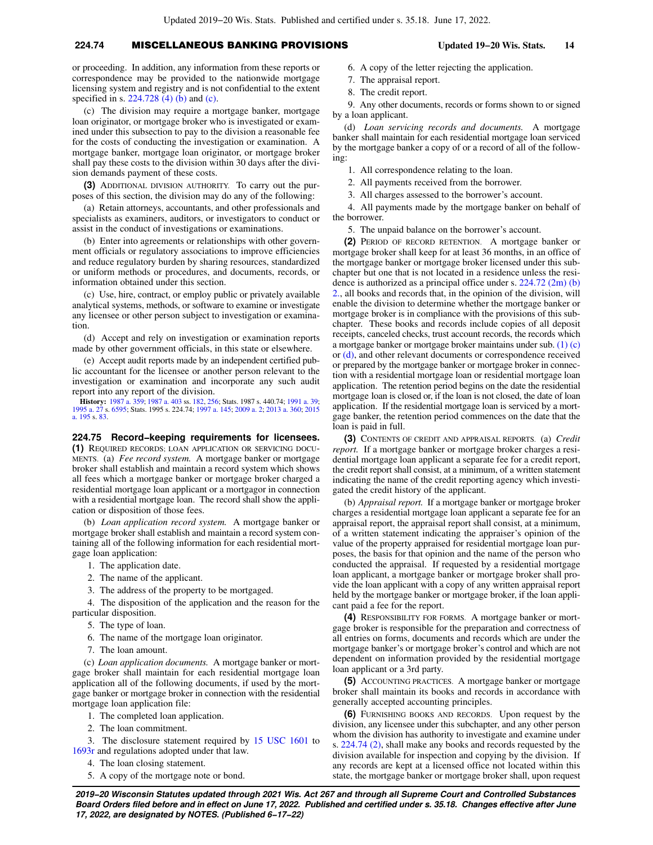# **224.74** MISCELLANEOUS BANKING PROVISIONS **Updated 19−20 Wis. Stats. 14**

or proceeding. In addition, any information from these reports or correspondence may be provided to the nationwide mortgage licensing system and registry and is not confidential to the extent specified in s. [224.728 \(4\) \(b\)](https://docs.legis.wisconsin.gov/document/statutes/224.728(4)(b)) and [\(c\).](https://docs.legis.wisconsin.gov/document/statutes/224.728(4)(c))

(c) The division may require a mortgage banker, mortgage loan originator, or mortgage broker who is investigated or examined under this subsection to pay to the division a reasonable fee for the costs of conducting the investigation or examination. A mortgage banker, mortgage loan originator, or mortgage broker shall pay these costs to the division within 30 days after the division demands payment of these costs.

**(3)** ADDITIONAL DIVISION AUTHORITY. To carry out the purposes of this section, the division may do any of the following:

(a) Retain attorneys, accountants, and other professionals and specialists as examiners, auditors, or investigators to conduct or assist in the conduct of investigations or examinations.

(b) Enter into agreements or relationships with other government officials or regulatory associations to improve efficiencies and reduce regulatory burden by sharing resources, standardized or uniform methods or procedures, and documents, records, or information obtained under this section.

(c) Use, hire, contract, or employ public or privately available analytical systems, methods, or software to examine or investigate any licensee or other person subject to investigation or examination.

(d) Accept and rely on investigation or examination reports made by other government officials, in this state or elsewhere.

(e) Accept audit reports made by an independent certified public accountant for the licensee or another person relevant to the investigation or examination and incorporate any such audit report into any report of the division.

**History:** [1987 a. 359;](https://docs.legis.wisconsin.gov/document/acts/1987/359) [1987 a. 403](https://docs.legis.wisconsin.gov/document/acts/1987/403) ss. [182](https://docs.legis.wisconsin.gov/document/acts/1987/403,%20s.%20182), [256](https://docs.legis.wisconsin.gov/document/acts/1987/403,%20s.%20256); Stats. 1987 s. 440.74; [1991 a. 39](https://docs.legis.wisconsin.gov/document/acts/1991/39); [1995 a. 27](https://docs.legis.wisconsin.gov/document/acts/1995/27) s. [6595;](https://docs.legis.wisconsin.gov/document/acts/1995/27,%20s.%206595) Stats. 1995 s. 224.74; [1997 a. 145;](https://docs.legis.wisconsin.gov/document/acts/1997/145) [2009 a. 2](https://docs.legis.wisconsin.gov/document/acts/2009/2); [2013 a. 360](https://docs.legis.wisconsin.gov/document/acts/2013/360); [2015](https://docs.legis.wisconsin.gov/document/acts/2015/195) [a. 195](https://docs.legis.wisconsin.gov/document/acts/2015/195) s. [83.](https://docs.legis.wisconsin.gov/document/acts/2015/195,%20s.%2083)

**224.75 Record−keeping requirements for licensees.**

**(1)** REQUIRED RECORDS; LOAN APPLICATION OR SERVICING DOCU-MENTS. (a) *Fee record system.* A mortgage banker or mortgage broker shall establish and maintain a record system which shows all fees which a mortgage banker or mortgage broker charged a residential mortgage loan applicant or a mortgagor in connection with a residential mortgage loan. The record shall show the application or disposition of those fees.

(b) *Loan application record system.* A mortgage banker or mortgage broker shall establish and maintain a record system containing all of the following information for each residential mortgage loan application:

- 1. The application date.
- 2. The name of the applicant.
- 3. The address of the property to be mortgaged.

4. The disposition of the application and the reason for the particular disposition.

- 5. The type of loan.
- 6. The name of the mortgage loan originator.
- 7. The loan amount.

(c) *Loan application documents.* A mortgage banker or mortgage broker shall maintain for each residential mortgage loan application all of the following documents, if used by the mortgage banker or mortgage broker in connection with the residential mortgage loan application file:

- 1. The completed loan application.
- 2. The loan commitment.

3. The disclosure statement required by [15 USC 1601](https://docs.legis.wisconsin.gov/document/usc/15%20USC%201601) to [1693r](https://docs.legis.wisconsin.gov/document/usc/15%20USC%201693r) and regulations adopted under that law.

- 4. The loan closing statement.
- 5. A copy of the mortgage note or bond.
- 6. A copy of the letter rejecting the application.
- 7. The appraisal report.
- 8. The credit report.

9. Any other documents, records or forms shown to or signed by a loan applicant.

(d) *Loan servicing records and documents.* A mortgage banker shall maintain for each residential mortgage loan serviced by the mortgage banker a copy of or a record of all of the following:

1. All correspondence relating to the loan.

2. All payments received from the borrower.

3. All charges assessed to the borrower's account.

4. All payments made by the mortgage banker on behalf of the borrower.

5. The unpaid balance on the borrower's account.

**(2)** PERIOD OF RECORD RETENTION. A mortgage banker or mortgage broker shall keep for at least 36 months, in an office of the mortgage banker or mortgage broker licensed under this subchapter but one that is not located in a residence unless the residence is authorized as a principal office under s. [224.72 \(2m\) \(b\)](https://docs.legis.wisconsin.gov/document/statutes/224.72(2m)(b)2.) [2.,](https://docs.legis.wisconsin.gov/document/statutes/224.72(2m)(b)2.) all books and records that, in the opinion of the division, will enable the division to determine whether the mortgage banker or mortgage broker is in compliance with the provisions of this subchapter. These books and records include copies of all deposit receipts, canceled checks, trust account records, the records which a mortgage banker or mortgage broker maintains under sub. [\(1\) \(c\)](https://docs.legis.wisconsin.gov/document/statutes/224.75(1)(c)) or [\(d\)](https://docs.legis.wisconsin.gov/document/statutes/224.75(1)(d)), and other relevant documents or correspondence received or prepared by the mortgage banker or mortgage broker in connection with a residential mortgage loan or residential mortgage loan application. The retention period begins on the date the residential mortgage loan is closed or, if the loan is not closed, the date of loan application. If the residential mortgage loan is serviced by a mortgage banker, the retention period commences on the date that the loan is paid in full.

**(3)** CONTENTS OF CREDIT AND APPRAISAL REPORTS. (a) *Credit report.* If a mortgage banker or mortgage broker charges a residential mortgage loan applicant a separate fee for a credit report, the credit report shall consist, at a minimum, of a written statement indicating the name of the credit reporting agency which investigated the credit history of the applicant.

(b) *Appraisal report.* If a mortgage banker or mortgage broker charges a residential mortgage loan applicant a separate fee for an appraisal report, the appraisal report shall consist, at a minimum, of a written statement indicating the appraiser's opinion of the value of the property appraised for residential mortgage loan purposes, the basis for that opinion and the name of the person who conducted the appraisal. If requested by a residential mortgage loan applicant, a mortgage banker or mortgage broker shall provide the loan applicant with a copy of any written appraisal report held by the mortgage banker or mortgage broker, if the loan applicant paid a fee for the report.

**(4)** RESPONSIBILITY FOR FORMS. A mortgage banker or mortgage broker is responsible for the preparation and correctness of all entries on forms, documents and records which are under the mortgage banker's or mortgage broker's control and which are not dependent on information provided by the residential mortgage loan applicant or a 3rd party.

**(5)** ACCOUNTING PRACTICES. A mortgage banker or mortgage broker shall maintain its books and records in accordance with generally accepted accounting principles.

**(6)** FURNISHING BOOKS AND RECORDS. Upon request by the division, any licensee under this subchapter, and any other person whom the division has authority to investigate and examine under s. [224.74 \(2\)](https://docs.legis.wisconsin.gov/document/statutes/224.74(2)), shall make any books and records requested by the division available for inspection and copying by the division. If any records are kept at a licensed office not located within this state, the mortgage banker or mortgage broker shall, upon request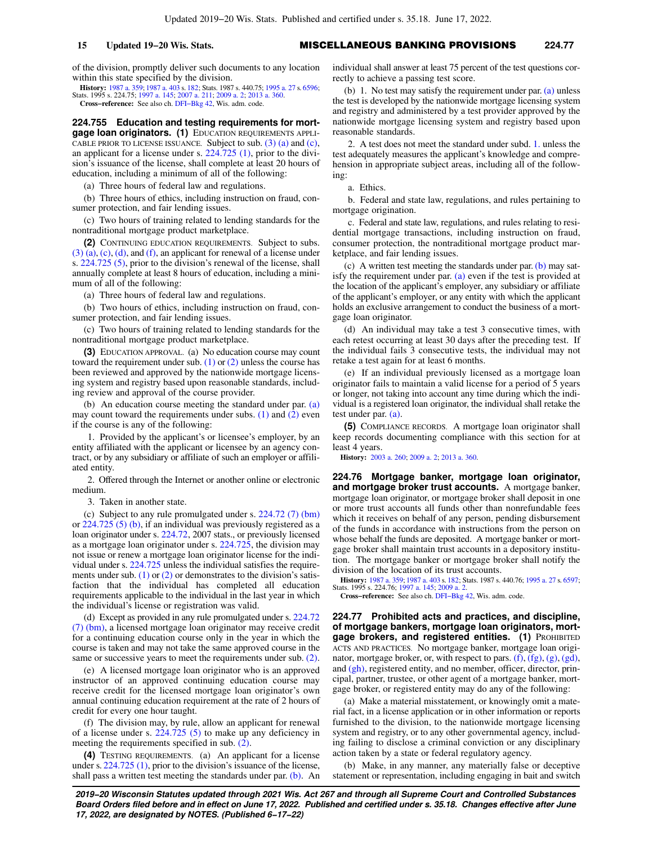## **15 Updated 19−20 Wis. Stats.** MISCELLANEOUS BANKING PROVISIONS **224.77**

of the division, promptly deliver such documents to any location within this state specified by the division.

**History:** [1987 a. 359;](https://docs.legis.wisconsin.gov/document/acts/1987/359) [1987 a. 403](https://docs.legis.wisconsin.gov/document/acts/1987/403) s. [182](https://docs.legis.wisconsin.gov/document/acts/1987/403,%20s.%20182); Stats. 1987 s. 440.75; [1995 a. 27](https://docs.legis.wisconsin.gov/document/acts/1995/27) s. [6596](https://docs.legis.wisconsin.gov/document/acts/1995/27,%20s.%206596); Stats. 1995 s. 224.75; [1997 a. 145;](https://docs.legis.wisconsin.gov/document/acts/1997/145) [2007 a. 211](https://docs.legis.wisconsin.gov/document/acts/2007/211); [2009 a. 2;](https://docs.legis.wisconsin.gov/document/acts/2009/2) [2013 a. 360.](https://docs.legis.wisconsin.gov/document/acts/2013/360) **Cross−reference:** See also ch. [DFI−Bkg 42](https://docs.legis.wisconsin.gov/document/administrativecode/ch.%20DFI-Bkg%2042), Wis. adm. code.

**224.755 Education and testing requirements for mortgage loan originators. (1)** EDUCATION REQUIREMENTS APPLI-CABLE PRIOR TO LICENSE ISSUANCE. Subject to sub.  $(3)$   $(a)$  and  $(c)$ , an applicant for a license under s. [224.725 \(1\)](https://docs.legis.wisconsin.gov/document/statutes/224.725(1)), prior to the division's issuance of the license, shall complete at least 20 hours of education, including a minimum of all of the following:

(a) Three hours of federal law and regulations.

(b) Three hours of ethics, including instruction on fraud, consumer protection, and fair lending issues.

(c) Two hours of training related to lending standards for the nontraditional mortgage product marketplace.

**(2)** CONTINUING EDUCATION REQUIREMENTS. Subject to subs.  $(3)$  (a), [\(c\),](https://docs.legis.wisconsin.gov/document/statutes/224.755(3)(c)) [\(d\)](https://docs.legis.wisconsin.gov/document/statutes/224.755(3)(d)), and [\(f\)](https://docs.legis.wisconsin.gov/document/statutes/224.755(3)(f)), an applicant for renewal of a license under s. [224.725 \(5\),](https://docs.legis.wisconsin.gov/document/statutes/224.725(5)) prior to the division's renewal of the license, shall annually complete at least 8 hours of education, including a minimum of all of the following:

(a) Three hours of federal law and regulations.

(b) Two hours of ethics, including instruction on fraud, consumer protection, and fair lending issues.

(c) Two hours of training related to lending standards for the nontraditional mortgage product marketplace.

**(3)** EDUCATION APPROVAL. (a) No education course may count toward the requirement under sub.  $(1)$  or  $(2)$  unless the course has been reviewed and approved by the nationwide mortgage licensing system and registry based upon reasonable standards, including review and approval of the course provider.

(b) An education course meeting the standard under par. [\(a\)](https://docs.legis.wisconsin.gov/document/statutes/224.755(3)(a)) may count toward the requirements under subs. [\(1\)](https://docs.legis.wisconsin.gov/document/statutes/224.755(1)) and [\(2\)](https://docs.legis.wisconsin.gov/document/statutes/224.755(2)) even if the course is any of the following:

1. Provided by the applicant's or licensee's employer, by an entity affiliated with the applicant or licensee by an agency contract, or by any subsidiary or affiliate of such an employer or affiliated entity.

2. Offered through the Internet or another online or electronic medium.

3. Taken in another state.

(c) Subject to any rule promulgated under s. [224.72 \(7\) \(bm\)](https://docs.legis.wisconsin.gov/document/statutes/224.72(7)(bm)) or [224.725 \(5\) \(b\),](https://docs.legis.wisconsin.gov/document/statutes/224.725(5)(b)) if an individual was previously registered as a loan originator under s. [224.72](https://docs.legis.wisconsin.gov/document/statutes/2007/224.72), 2007 stats., or previously licensed as a mortgage loan originator under s. [224.725,](https://docs.legis.wisconsin.gov/document/statutes/224.725) the division may not issue or renew a mortgage loan originator license for the individual under s. [224.725](https://docs.legis.wisconsin.gov/document/statutes/224.725) unless the individual satisfies the requirements under sub.  $(1)$  or  $(2)$  or demonstrates to the division's satisfaction that the individual has completed all education requirements applicable to the individual in the last year in which the individual's license or registration was valid.

(d) Except as provided in any rule promulgated under s. [224.72](https://docs.legis.wisconsin.gov/document/statutes/224.72(7)(bm)) [\(7\) \(bm\)](https://docs.legis.wisconsin.gov/document/statutes/224.72(7)(bm)), a licensed mortgage loan originator may receive credit for a continuing education course only in the year in which the course is taken and may not take the same approved course in the same or successive years to meet the requirements under sub. [\(2\).](https://docs.legis.wisconsin.gov/document/statutes/224.755(2))

(e) A licensed mortgage loan originator who is an approved instructor of an approved continuing education course may receive credit for the licensed mortgage loan originator's own annual continuing education requirement at the rate of 2 hours of credit for every one hour taught.

(f) The division may, by rule, allow an applicant for renewal of a license under s.  $224.725$  (5) to make up any deficiency in meeting the requirements specified in sub. [\(2\).](https://docs.legis.wisconsin.gov/document/statutes/224.755(2))

**(4)** TESTING REQUIREMENTS. (a) An applicant for a license under s. [224.725 \(1\),](https://docs.legis.wisconsin.gov/document/statutes/224.725(1)) prior to the division's issuance of the license, shall pass a written test meeting the standards under par. [\(b\)](https://docs.legis.wisconsin.gov/document/statutes/224.755(4)(b)). An individual shall answer at least 75 percent of the test questions correctly to achieve a passing test score.

(b) 1. No test may satisfy the requirement under par. [\(a\)](https://docs.legis.wisconsin.gov/document/statutes/224.755(4)(a)) unless the test is developed by the nationwide mortgage licensing system and registry and administered by a test provider approved by the nationwide mortgage licensing system and registry based upon reasonable standards.

2. A test does not meet the standard under subd. [1.](https://docs.legis.wisconsin.gov/document/statutes/224.755(4)(b)1.) unless the test adequately measures the applicant's knowledge and comprehension in appropriate subject areas, including all of the following:

a. Ethics.

b. Federal and state law, regulations, and rules pertaining to mortgage origination.

c. Federal and state law, regulations, and rules relating to residential mortgage transactions, including instruction on fraud, consumer protection, the nontraditional mortgage product marketplace, and fair lending issues.

(c) A written test meeting the standards under par. [\(b\)](https://docs.legis.wisconsin.gov/document/statutes/224.755(4)(b)) may satisfy the requirement under par. [\(a\)](https://docs.legis.wisconsin.gov/document/statutes/224.755(4)(a)) even if the test is provided at the location of the applicant's employer, any subsidiary or affiliate of the applicant's employer, or any entity with which the applicant holds an exclusive arrangement to conduct the business of a mortgage loan originator.

(d) An individual may take a test 3 consecutive times, with each retest occurring at least 30 days after the preceding test. If the individual fails 3 consecutive tests, the individual may not retake a test again for at least 6 months.

(e) If an individual previously licensed as a mortgage loan originator fails to maintain a valid license for a period of 5 years or longer, not taking into account any time during which the individual is a registered loan originator, the individual shall retake the test under par. [\(a\)](https://docs.legis.wisconsin.gov/document/statutes/224.755(4)(a)).

**(5)** COMPLIANCE RECORDS. A mortgage loan originator shall keep records documenting compliance with this section for at least 4 years.

**History:** [2003 a. 260;](https://docs.legis.wisconsin.gov/document/acts/2003/260) [2009 a. 2](https://docs.legis.wisconsin.gov/document/acts/2009/2); [2013 a. 360.](https://docs.legis.wisconsin.gov/document/acts/2013/360)

**224.76 Mortgage banker, mortgage loan originator, and mortgage broker trust accounts.** A mortgage banker, mortgage loan originator, or mortgage broker shall deposit in one or more trust accounts all funds other than nonrefundable fees which it receives on behalf of any person, pending disbursement of the funds in accordance with instructions from the person on whose behalf the funds are deposited. A mortgage banker or mortgage broker shall maintain trust accounts in a depository institution. The mortgage banker or mortgage broker shall notify the division of the location of its trust accounts.

**History:** [1987 a. 359](https://docs.legis.wisconsin.gov/document/acts/1987/359); [1987 a. 403](https://docs.legis.wisconsin.gov/document/acts/1987/403) s. [182](https://docs.legis.wisconsin.gov/document/acts/1987/403,%20s.%20182); Stats. 1987 s. 440.76; [1995 a. 27](https://docs.legis.wisconsin.gov/document/acts/1995/27) s. [6597](https://docs.legis.wisconsin.gov/document/acts/1995/27,%20s.%206597); Stats. 1995 s. 224.76; [1997 a. 145](https://docs.legis.wisconsin.gov/document/acts/1997/145); [2009 a. 2.](https://docs.legis.wisconsin.gov/document/acts/2009/2)

**Cross−reference:** See also ch. [DFI−Bkg 42,](https://docs.legis.wisconsin.gov/document/administrativecode/ch.%20DFI-Bkg%2042) Wis. adm. code.

**224.77 Prohibited acts and practices, and discipline, of mortgage bankers, mortgage loan originators, mortgage brokers, and registered entities. (1)** PROHIBITED ACTS AND PRACTICES. No mortgage banker, mortgage loan originator, mortgage broker, or, with respect to pars.  $(f)$ ,  $(fg)$ ,  $(g)$ ,  $(gd)$ , and [\(gh\)](https://docs.legis.wisconsin.gov/document/statutes/224.77(1)(gh)), registered entity, and no member, officer, director, principal, partner, trustee, or other agent of a mortgage banker, mortgage broker, or registered entity may do any of the following:

(a) Make a material misstatement, or knowingly omit a material fact, in a license application or in other information or reports furnished to the division, to the nationwide mortgage licensing system and registry, or to any other governmental agency, including failing to disclose a criminal conviction or any disciplinary action taken by a state or federal regulatory agency.

(b) Make, in any manner, any materially false or deceptive statement or representation, including engaging in bait and switch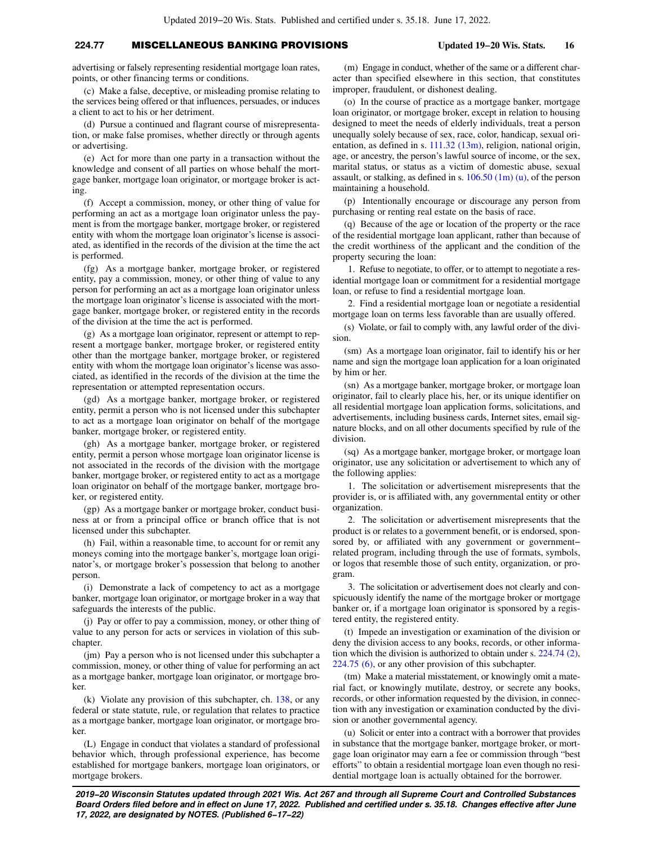## **224.77** MISCELLANEOUS BANKING PROVISIONS **Updated 19−20 Wis. Stats. 16**

advertising or falsely representing residential mortgage loan rates, points, or other financing terms or conditions.

(c) Make a false, deceptive, or misleading promise relating to the services being offered or that influences, persuades, or induces a client to act to his or her detriment.

(d) Pursue a continued and flagrant course of misrepresentation, or make false promises, whether directly or through agents or advertising.

(e) Act for more than one party in a transaction without the knowledge and consent of all parties on whose behalf the mortgage banker, mortgage loan originator, or mortgage broker is acting.

(f) Accept a commission, money, or other thing of value for performing an act as a mortgage loan originator unless the payment is from the mortgage banker, mortgage broker, or registered entity with whom the mortgage loan originator's license is associated, as identified in the records of the division at the time the act is performed.

(fg) As a mortgage banker, mortgage broker, or registered entity, pay a commission, money, or other thing of value to any person for performing an act as a mortgage loan originator unless the mortgage loan originator's license is associated with the mortgage banker, mortgage broker, or registered entity in the records of the division at the time the act is performed.

(g) As a mortgage loan originator, represent or attempt to represent a mortgage banker, mortgage broker, or registered entity other than the mortgage banker, mortgage broker, or registered entity with whom the mortgage loan originator's license was associated, as identified in the records of the division at the time the representation or attempted representation occurs.

(gd) As a mortgage banker, mortgage broker, or registered entity, permit a person who is not licensed under this subchapter to act as a mortgage loan originator on behalf of the mortgage banker, mortgage broker, or registered entity.

(gh) As a mortgage banker, mortgage broker, or registered entity, permit a person whose mortgage loan originator license is not associated in the records of the division with the mortgage banker, mortgage broker, or registered entity to act as a mortgage loan originator on behalf of the mortgage banker, mortgage broker, or registered entity.

(gp) As a mortgage banker or mortgage broker, conduct business at or from a principal office or branch office that is not licensed under this subchapter.

(h) Fail, within a reasonable time, to account for or remit any moneys coming into the mortgage banker's, mortgage loan originator's, or mortgage broker's possession that belong to another person.

(i) Demonstrate a lack of competency to act as a mortgage banker, mortgage loan originator, or mortgage broker in a way that safeguards the interests of the public.

(j) Pay or offer to pay a commission, money, or other thing of value to any person for acts or services in violation of this subchapter.

(jm) Pay a person who is not licensed under this subchapter a commission, money, or other thing of value for performing an act as a mortgage banker, mortgage loan originator, or mortgage broker.

(k) Violate any provision of this subchapter, ch. [138,](https://docs.legis.wisconsin.gov/document/statutes/ch.%20138) or any federal or state statute, rule, or regulation that relates to practice as a mortgage banker, mortgage loan originator, or mortgage broker.

(L) Engage in conduct that violates a standard of professional behavior which, through professional experience, has become established for mortgage bankers, mortgage loan originators, or mortgage brokers.

(m) Engage in conduct, whether of the same or a different character than specified elsewhere in this section, that constitutes improper, fraudulent, or dishonest dealing.

(o) In the course of practice as a mortgage banker, mortgage loan originator, or mortgage broker, except in relation to housing designed to meet the needs of elderly individuals, treat a person unequally solely because of sex, race, color, handicap, sexual orientation, as defined in s. [111.32 \(13m\),](https://docs.legis.wisconsin.gov/document/statutes/111.32(13m)) religion, national origin, age, or ancestry, the person's lawful source of income, or the sex, marital status, or status as a victim of domestic abuse, sexual assault, or stalking, as defined in s. [106.50 \(1m\) \(u\),](https://docs.legis.wisconsin.gov/document/statutes/106.50(1m)(u)) of the person maintaining a household.

(p) Intentionally encourage or discourage any person from purchasing or renting real estate on the basis of race.

(q) Because of the age or location of the property or the race of the residential mortgage loan applicant, rather than because of the credit worthiness of the applicant and the condition of the property securing the loan:

1. Refuse to negotiate, to offer, or to attempt to negotiate a residential mortgage loan or commitment for a residential mortgage loan, or refuse to find a residential mortgage loan.

2. Find a residential mortgage loan or negotiate a residential mortgage loan on terms less favorable than are usually offered.

(s) Violate, or fail to comply with, any lawful order of the division.

(sm) As a mortgage loan originator, fail to identify his or her name and sign the mortgage loan application for a loan originated by him or her.

(sn) As a mortgage banker, mortgage broker, or mortgage loan originator, fail to clearly place his, her, or its unique identifier on all residential mortgage loan application forms, solicitations, and advertisements, including business cards, Internet sites, email signature blocks, and on all other documents specified by rule of the division.

(sq) As a mortgage banker, mortgage broker, or mortgage loan originator, use any solicitation or advertisement to which any of the following applies:

1. The solicitation or advertisement misrepresents that the provider is, or is affiliated with, any governmental entity or other organization.

2. The solicitation or advertisement misrepresents that the product is or relates to a government benefit, or is endorsed, sponsored by, or affiliated with any government or government− related program, including through the use of formats, symbols, or logos that resemble those of such entity, organization, or program.

3. The solicitation or advertisement does not clearly and conspicuously identify the name of the mortgage broker or mortgage banker or, if a mortgage loan originator is sponsored by a registered entity, the registered entity.

(t) Impede an investigation or examination of the division or deny the division access to any books, records, or other information which the division is authorized to obtain under s. [224.74 \(2\),](https://docs.legis.wisconsin.gov/document/statutes/224.74(2)) [224.75 \(6\),](https://docs.legis.wisconsin.gov/document/statutes/224.75(6)) or any other provision of this subchapter.

(tm) Make a material misstatement, or knowingly omit a material fact, or knowingly mutilate, destroy, or secrete any books, records, or other information requested by the division, in connection with any investigation or examination conducted by the division or another governmental agency.

(u) Solicit or enter into a contract with a borrower that provides in substance that the mortgage banker, mortgage broker, or mortgage loan originator may earn a fee or commission through "best efforts" to obtain a residential mortgage loan even though no residential mortgage loan is actually obtained for the borrower.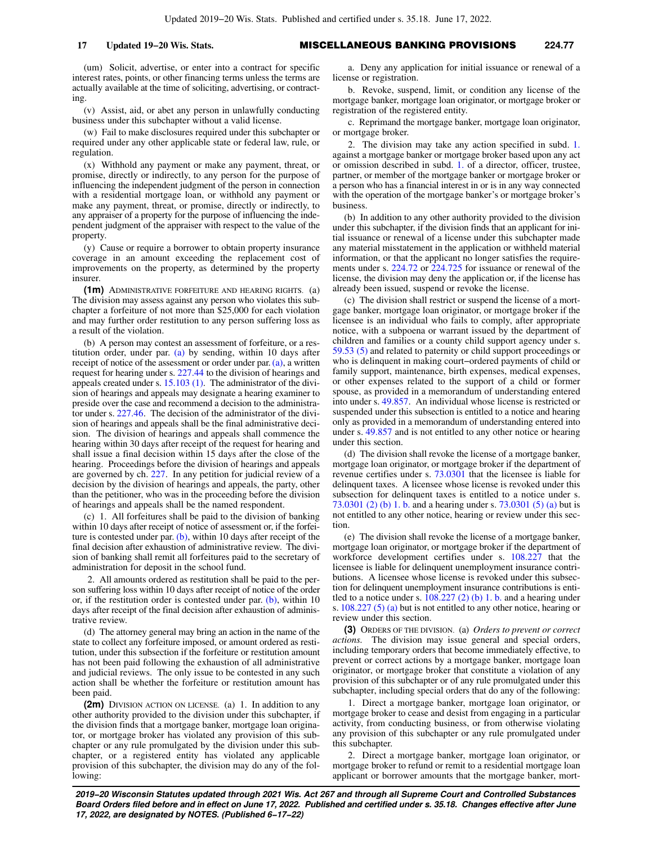(um) Solicit, advertise, or enter into a contract for specific interest rates, points, or other financing terms unless the terms are actually available at the time of soliciting, advertising, or contracting.

(v) Assist, aid, or abet any person in unlawfully conducting business under this subchapter without a valid license.

(w) Fail to make disclosures required under this subchapter or required under any other applicable state or federal law, rule, or regulation.

(x) Withhold any payment or make any payment, threat, or promise, directly or indirectly, to any person for the purpose of influencing the independent judgment of the person in connection with a residential mortgage loan, or withhold any payment or make any payment, threat, or promise, directly or indirectly, to any appraiser of a property for the purpose of influencing the independent judgment of the appraiser with respect to the value of the property.

(y) Cause or require a borrower to obtain property insurance coverage in an amount exceeding the replacement cost of improvements on the property, as determined by the property insurer.

**(1m)** ADMINISTRATIVE FORFEITURE AND HEARING RIGHTS. (a) The division may assess against any person who violates this subchapter a forfeiture of not more than \$25,000 for each violation and may further order restitution to any person suffering loss as a result of the violation.

(b) A person may contest an assessment of forfeiture, or a restitution order, under par. [\(a\)](https://docs.legis.wisconsin.gov/document/statutes/224.77(1m)(a)) by sending, within 10 days after receipt of notice of the assessment or order under par.  $(a)$ , a written request for hearing under s. [227.44](https://docs.legis.wisconsin.gov/document/statutes/227.44) to the division of hearings and appeals created under s. [15.103 \(1\).](https://docs.legis.wisconsin.gov/document/statutes/15.103(1)) The administrator of the division of hearings and appeals may designate a hearing examiner to preside over the case and recommend a decision to the administrator under s. [227.46.](https://docs.legis.wisconsin.gov/document/statutes/227.46) The decision of the administrator of the division of hearings and appeals shall be the final administrative decision. The division of hearings and appeals shall commence the hearing within 30 days after receipt of the request for hearing and shall issue a final decision within 15 days after the close of the hearing. Proceedings before the division of hearings and appeals are governed by ch. [227](https://docs.legis.wisconsin.gov/document/statutes/ch.%20227). In any petition for judicial review of a decision by the division of hearings and appeals, the party, other than the petitioner, who was in the proceeding before the division of hearings and appeals shall be the named respondent.

(c) 1. All forfeitures shall be paid to the division of banking within 10 days after receipt of notice of assessment or, if the forfeiture is contested under par.  $(b)$ , within 10 days after receipt of the final decision after exhaustion of administrative review. The division of banking shall remit all forfeitures paid to the secretary of administration for deposit in the school fund.

2. All amounts ordered as restitution shall be paid to the person suffering loss within 10 days after receipt of notice of the order or, if the restitution order is contested under par.  $(b)$ , within 10 days after receipt of the final decision after exhaustion of administrative review.

(d) The attorney general may bring an action in the name of the state to collect any forfeiture imposed, or amount ordered as restitution, under this subsection if the forfeiture or restitution amount has not been paid following the exhaustion of all administrative and judicial reviews. The only issue to be contested in any such action shall be whether the forfeiture or restitution amount has been paid.

**(2m)** DIVISION ACTION ON LICENSE. (a) 1. In addition to any other authority provided to the division under this subchapter, if the division finds that a mortgage banker, mortgage loan originator, or mortgage broker has violated any provision of this subchapter or any rule promulgated by the division under this subchapter, or a registered entity has violated any applicable provision of this subchapter, the division may do any of the following:

a. Deny any application for initial issuance or renewal of a license or registration.

b. Revoke, suspend, limit, or condition any license of the mortgage banker, mortgage loan originator, or mortgage broker or registration of the registered entity.

c. Reprimand the mortgage banker, mortgage loan originator, or mortgage broker.

2. The division may take any action specified in subd. [1.](https://docs.legis.wisconsin.gov/document/statutes/224.77(2m)(a)1.) against a mortgage banker or mortgage broker based upon any act or omission described in subd. [1.](https://docs.legis.wisconsin.gov/document/statutes/224.77(2m)(a)1.) of a director, officer, trustee, partner, or member of the mortgage banker or mortgage broker or a person who has a financial interest in or is in any way connected with the operation of the mortgage banker's or mortgage broker's business.

(b) In addition to any other authority provided to the division under this subchapter, if the division finds that an applicant for initial issuance or renewal of a license under this subchapter made any material misstatement in the application or withheld material information, or that the applicant no longer satisfies the requirements under s. [224.72](https://docs.legis.wisconsin.gov/document/statutes/224.72) or [224.725](https://docs.legis.wisconsin.gov/document/statutes/224.725) for issuance or renewal of the license, the division may deny the application or, if the license has already been issued, suspend or revoke the license.

(c) The division shall restrict or suspend the license of a mortgage banker, mortgage loan originator, or mortgage broker if the licensee is an individual who fails to comply, after appropriate notice, with a subpoena or warrant issued by the department of children and families or a county child support agency under s. [59.53 \(5\)](https://docs.legis.wisconsin.gov/document/statutes/59.53(5)) and related to paternity or child support proceedings or who is delinquent in making court−ordered payments of child or family support, maintenance, birth expenses, medical expenses, or other expenses related to the support of a child or former spouse, as provided in a memorandum of understanding entered into under s. [49.857](https://docs.legis.wisconsin.gov/document/statutes/49.857). An individual whose license is restricted or suspended under this subsection is entitled to a notice and hearing only as provided in a memorandum of understanding entered into under s. [49.857](https://docs.legis.wisconsin.gov/document/statutes/49.857) and is not entitled to any other notice or hearing under this section.

(d) The division shall revoke the license of a mortgage banker, mortgage loan originator, or mortgage broker if the department of revenue certifies under s. [73.0301](https://docs.legis.wisconsin.gov/document/statutes/73.0301) that the licensee is liable for delinquent taxes. A licensee whose license is revoked under this subsection for delinquent taxes is entitled to a notice under s. [73.0301 \(2\) \(b\) 1. b.](https://docs.legis.wisconsin.gov/document/statutes/73.0301(2)(b)1.b.) and a hearing under s. [73.0301 \(5\) \(a\)](https://docs.legis.wisconsin.gov/document/statutes/73.0301(5)(a)) but is not entitled to any other notice, hearing or review under this section.

(e) The division shall revoke the license of a mortgage banker, mortgage loan originator, or mortgage broker if the department of workforce development certifies under s. [108.227](https://docs.legis.wisconsin.gov/document/statutes/108.227) that the licensee is liable for delinquent unemployment insurance contributions. A licensee whose license is revoked under this subsection for delinquent unemployment insurance contributions is entitled to a notice under s.  $108.227$  (2) (b) 1. b. and a hearing under s. [108.227 \(5\) \(a\)](https://docs.legis.wisconsin.gov/document/statutes/108.227(5)(a)) but is not entitled to any other notice, hearing or review under this section.

**(3)** ORDERS OF THE DIVISION. (a) *Orders to prevent or correct actions.* The division may issue general and special orders, including temporary orders that become immediately effective, to prevent or correct actions by a mortgage banker, mortgage loan originator, or mortgage broker that constitute a violation of any provision of this subchapter or of any rule promulgated under this subchapter, including special orders that do any of the following:

1. Direct a mortgage banker, mortgage loan originator, or mortgage broker to cease and desist from engaging in a particular activity, from conducting business, or from otherwise violating any provision of this subchapter or any rule promulgated under this subchapter.

2. Direct a mortgage banker, mortgage loan originator, or mortgage broker to refund or remit to a residential mortgage loan applicant or borrower amounts that the mortgage banker, mort-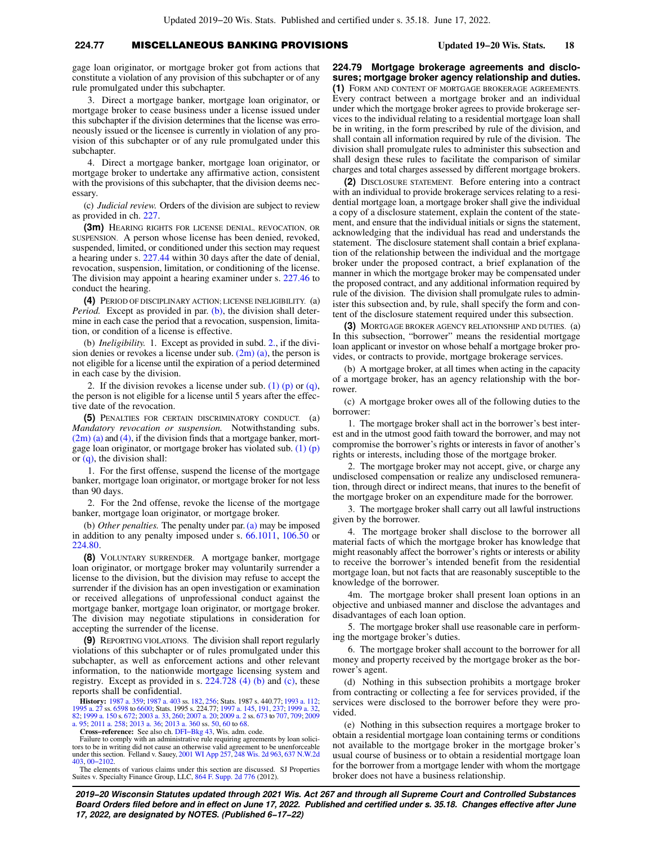## **224.77** MISCELLANEOUS BANKING PROVISIONS **Updated 19−20 Wis. Stats. 18**

gage loan originator, or mortgage broker got from actions that constitute a violation of any provision of this subchapter or of any rule promulgated under this subchapter.

3. Direct a mortgage banker, mortgage loan originator, or mortgage broker to cease business under a license issued under this subchapter if the division determines that the license was erroneously issued or the licensee is currently in violation of any provision of this subchapter or of any rule promulgated under this subchapter.

4. Direct a mortgage banker, mortgage loan originator, or mortgage broker to undertake any affirmative action, consistent with the provisions of this subchapter, that the division deems necessary.

(c) *Judicial review.* Orders of the division are subject to review as provided in ch. [227](https://docs.legis.wisconsin.gov/document/statutes/ch.%20227).

**(3m)** HEARING RIGHTS FOR LICENSE DENIAL, REVOCATION, OR SUSPENSION. A person whose license has been denied, revoked, suspended, limited, or conditioned under this section may request a hearing under s. [227.44](https://docs.legis.wisconsin.gov/document/statutes/227.44) within 30 days after the date of denial, revocation, suspension, limitation, or conditioning of the license. The division may appoint a hearing examiner under s. [227.46](https://docs.legis.wisconsin.gov/document/statutes/227.46) to conduct the hearing.

**(4)** PERIOD OF DISCIPLINARY ACTION; LICENSE INELIGIBILITY. (a) *Period.* Except as provided in par. [\(b\),](https://docs.legis.wisconsin.gov/document/statutes/224.77(4)(b)) the division shall determine in each case the period that a revocation, suspension, limitation, or condition of a license is effective.

(b) *Ineligibility.* 1. Except as provided in subd. [2.](https://docs.legis.wisconsin.gov/document/statutes/224.77(4)(b)2.), if the division denies or revokes a license under sub.  $(2m)(a)$ , the person is not eligible for a license until the expiration of a period determined in each case by the division.

2. If the division revokes a license under sub. [\(1\) \(p\)](https://docs.legis.wisconsin.gov/document/statutes/224.77(1)(p)) or  $(q)$ , the person is not eligible for a license until 5 years after the effective date of the revocation.

**(5)** PENALTIES FOR CERTAIN DISCRIMINATORY CONDUCT. (a) *Mandatory revocation or suspension.* Notwithstanding subs.  $(2m)$  (a) and [\(4\)](https://docs.legis.wisconsin.gov/document/statutes/224.77(4)), if the division finds that a mortgage banker, mortgage loan originator, or mortgage broker has violated sub.  $(1)$  (p) or [\(q\)](https://docs.legis.wisconsin.gov/document/statutes/224.77(1)(q)), the division shall:

1. For the first offense, suspend the license of the mortgage banker, mortgage loan originator, or mortgage broker for not less than 90 days.

2. For the 2nd offense, revoke the license of the mortgage banker, mortgage loan originator, or mortgage broker.

(b) *Other penalties.* The penalty under par. [\(a\)](https://docs.legis.wisconsin.gov/document/statutes/224.77(5)(a)) may be imposed in addition to any penalty imposed under s. [66.1011,](https://docs.legis.wisconsin.gov/document/statutes/66.1011) [106.50](https://docs.legis.wisconsin.gov/document/statutes/106.50) or [224.80.](https://docs.legis.wisconsin.gov/document/statutes/224.80)

**(8)** VOLUNTARY SURRENDER. A mortgage banker, mortgage loan originator, or mortgage broker may voluntarily surrender a license to the division, but the division may refuse to accept the surrender if the division has an open investigation or examination or received allegations of unprofessional conduct against the mortgage banker, mortgage loan originator, or mortgage broker. The division may negotiate stipulations in consideration for accepting the surrender of the license.

**(9)** REPORTING VIOLATIONS. The division shall report regularly violations of this subchapter or of rules promulgated under this subchapter, as well as enforcement actions and other relevant information, to the nationwide mortgage licensing system and registry. Except as provided in s. [224.728 \(4\) \(b\)](https://docs.legis.wisconsin.gov/document/statutes/224.728(4)(b)) and [\(c\),](https://docs.legis.wisconsin.gov/document/statutes/224.728(4)(c)) these reports shall be confidential.

**History:** [1987 a. 359](https://docs.legis.wisconsin.gov/document/acts/1987/359); [1987 a. 403](https://docs.legis.wisconsin.gov/document/acts/1987/403) ss. [182,](https://docs.legis.wisconsin.gov/document/acts/1987/403,%20s.%20182) [256](https://docs.legis.wisconsin.gov/document/acts/1987/403,%20s.%20256); Stats. 1987 s. 440.77; [1993 a. 112](https://docs.legis.wisconsin.gov/document/acts/1993/112); [1995 a. 27](https://docs.legis.wisconsin.gov/document/acts/1995/27) ss. [6598](https://docs.legis.wisconsin.gov/document/acts/1995/27,%20s.%206598) to [6600;](https://docs.legis.wisconsin.gov/document/acts/1995/27,%20s.%206600) Stats. 1995 s. 224.77; [1997 a. 145,](https://docs.legis.wisconsin.gov/document/acts/1997/145) [191,](https://docs.legis.wisconsin.gov/document/acts/1997/191) [237](https://docs.legis.wisconsin.gov/document/acts/1997/237); [1999 a. 32](https://docs.legis.wisconsin.gov/document/acts/1999/32),<br>[82;](https://docs.legis.wisconsin.gov/document/acts/1999/82) [1999 a. 150](https://docs.legis.wisconsin.gov/document/acts/1999/150) s. [672;](https://docs.legis.wisconsin.gov/document/acts/1999/150,%20s.%20672) [2003 a. 33](https://docs.legis.wisconsin.gov/document/acts/2003/33), [260;](https://docs.legis.wisconsin.gov/document/acts/2003/260) [2007 a. 20](https://docs.legis.wisconsin.gov/document/acts/2007/20); [2009 a. 2](https://docs.legis.wisconsin.gov/document/acts/2009/2) ss. [673](https://docs.legis.wisconsin.gov/document/acts/2009/2,%20s.%20673) to [707](https://docs.legis.wisconsin.gov/document/acts/2009/2,%20s.%20707), [709;](https://docs.legis.wisconsin.gov/document/acts/2009/2,%20s.%20709) [2009](https://docs.legis.wisconsin.gov/document/acts/2009/95)<br>[a. 95](https://docs.legis.wisconsin.gov/document/acts/2009/95); [2011 a. 258;](https://docs.legis.wisconsin.gov/document/acts/2011/258) [2013 a. 36;](https://docs.legis.wisconsin.gov/document/acts/2013/36) [2013 a. 360](https://docs.legis.wisconsin.gov/document/acts/2013/360) ss

**Cross−reference:** See also ch. [DFI−Bkg 43](https://docs.legis.wisconsin.gov/document/administrativecode/ch.%20DFI-Bkg%2043), Wis. adm. code.

Failure to comply with an administrative rule requiring agreements by loan solici-tors to be in writing did not cause an otherwise valid agreement to be unenforceable under this section. Felland v. Sauey, [2001 WI App 257,](https://docs.legis.wisconsin.gov/document/courts/2001%20WI%20App%20257) [248 Wis. 2d 963,](https://docs.legis.wisconsin.gov/document/courts/248%20Wis.%202d%20963) [637 N.W.2d](https://docs.legis.wisconsin.gov/document/courts/637%20N.W.2d%20403) [403](https://docs.legis.wisconsin.gov/document/courts/637%20N.W.2d%20403), [00−2102](https://docs.legis.wisconsin.gov/document/wicourtofappeals/00-2102).

The elements of various claims under this section are discussed. SJ Properties Suites v. Specialty Finance Group, LLC, [864 F. Supp. 2d 776](https://docs.legis.wisconsin.gov/document/courts/864%20F.%20Supp.%202d%20776) (2012).

**224.79 Mortgage brokerage agreements and disclosures; mortgage broker agency relationship and duties. (1)** FORM AND CONTENT OF MORTGAGE BROKERAGE AGREEMENTS. Every contract between a mortgage broker and an individual under which the mortgage broker agrees to provide brokerage services to the individual relating to a residential mortgage loan shall be in writing, in the form prescribed by rule of the division, and shall contain all information required by rule of the division. The division shall promulgate rules to administer this subsection and shall design these rules to facilitate the comparison of similar charges and total charges assessed by different mortgage brokers.

**(2)** DISCLOSURE STATEMENT. Before entering into a contract with an individual to provide brokerage services relating to a residential mortgage loan, a mortgage broker shall give the individual a copy of a disclosure statement, explain the content of the statement, and ensure that the individual initials or signs the statement, acknowledging that the individual has read and understands the statement. The disclosure statement shall contain a brief explanation of the relationship between the individual and the mortgage broker under the proposed contract, a brief explanation of the manner in which the mortgage broker may be compensated under the proposed contract, and any additional information required by rule of the division. The division shall promulgate rules to administer this subsection and, by rule, shall specify the form and content of the disclosure statement required under this subsection.

**(3)** MORTGAGE BROKER AGENCY RELATIONSHIP AND DUTIES. (a) In this subsection, "borrower" means the residential mortgage loan applicant or investor on whose behalf a mortgage broker provides, or contracts to provide, mortgage brokerage services.

(b) A mortgage broker, at all times when acting in the capacity of a mortgage broker, has an agency relationship with the borrower.

(c) A mortgage broker owes all of the following duties to the borrower:

1. The mortgage broker shall act in the borrower's best interest and in the utmost good faith toward the borrower, and may not compromise the borrower's rights or interests in favor of another's rights or interests, including those of the mortgage broker.

2. The mortgage broker may not accept, give, or charge any undisclosed compensation or realize any undisclosed remuneration, through direct or indirect means, that inures to the benefit of the mortgage broker on an expenditure made for the borrower.

3. The mortgage broker shall carry out all lawful instructions given by the borrower.

4. The mortgage broker shall disclose to the borrower all material facts of which the mortgage broker has knowledge that might reasonably affect the borrower's rights or interests or ability to receive the borrower's intended benefit from the residential mortgage loan, but not facts that are reasonably susceptible to the knowledge of the borrower.

4m. The mortgage broker shall present loan options in an objective and unbiased manner and disclose the advantages and disadvantages of each loan option.

5. The mortgage broker shall use reasonable care in performing the mortgage broker's duties.

6. The mortgage broker shall account to the borrower for all money and property received by the mortgage broker as the borrower's agent.

(d) Nothing in this subsection prohibits a mortgage broker from contracting or collecting a fee for services provided, if the services were disclosed to the borrower before they were provided.

(e) Nothing in this subsection requires a mortgage broker to obtain a residential mortgage loan containing terms or conditions not available to the mortgage broker in the mortgage broker's usual course of business or to obtain a residential mortgage loan for the borrower from a mortgage lender with whom the mortgage broker does not have a business relationship.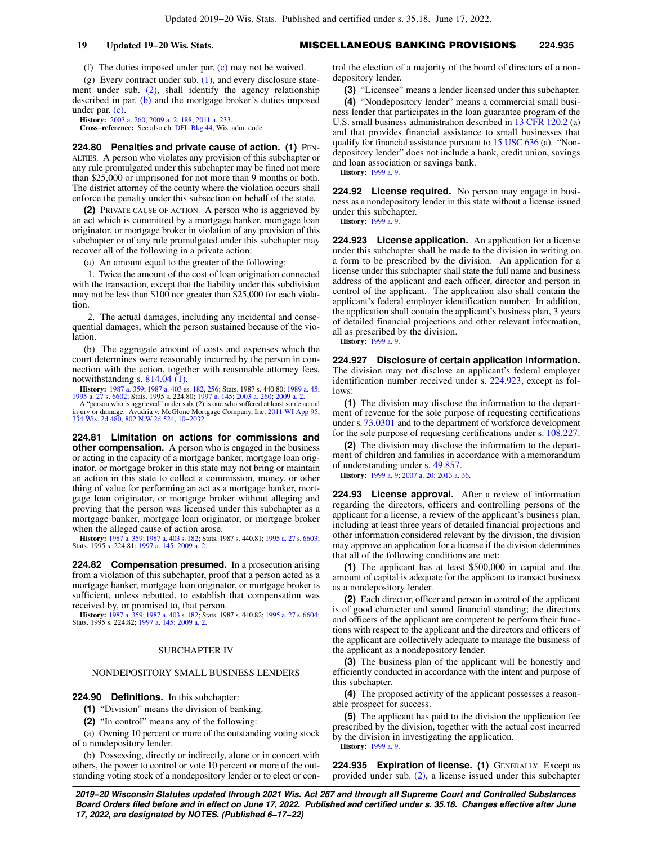## **19 Updated 19−20 Wis. Stats.** MISCELLANEOUS BANKING PROVISIONS **224.935**

(f) The duties imposed under par. [\(c\)](https://docs.legis.wisconsin.gov/document/statutes/224.79(3)(c)) may not be waived.

(g) Every contract under sub.  $(1)$ , and every disclosure statement under sub. [\(2\)](https://docs.legis.wisconsin.gov/document/statutes/224.79(2)), shall identify the agency relationship described in par. [\(b\)](https://docs.legis.wisconsin.gov/document/statutes/224.79(3)(b)) and the mortgage broker's duties imposed under par. [\(c\)](https://docs.legis.wisconsin.gov/document/statutes/224.79(3)(c)).

**History:** [2003 a. 260](https://docs.legis.wisconsin.gov/document/acts/2003/260); [2009 a. 2,](https://docs.legis.wisconsin.gov/document/acts/2009/2) [188](https://docs.legis.wisconsin.gov/document/acts/2009/188); [2011 a. 233](https://docs.legis.wisconsin.gov/document/acts/2011/233).

**Cross−reference:** See also ch. [DFI−Bkg 44](https://docs.legis.wisconsin.gov/document/administrativecode/ch.%20DFI-Bkg%2044), Wis. adm. code.

**224.80 Penalties and private cause of action. (1)** PEN-ALTIES. A person who violates any provision of this subchapter or any rule promulgated under this subchapter may be fined not more than \$25,000 or imprisoned for not more than 9 months or both. The district attorney of the county where the violation occurs shall enforce the penalty under this subsection on behalf of the state.

**(2)** PRIVATE CAUSE OF ACTION. A person who is aggrieved by an act which is committed by a mortgage banker, mortgage loan originator, or mortgage broker in violation of any provision of this subchapter or of any rule promulgated under this subchapter may recover all of the following in a private action:

(a) An amount equal to the greater of the following:

1. Twice the amount of the cost of loan origination connected with the transaction, except that the liability under this subdivision may not be less than \$100 nor greater than \$25,000 for each violation.

2. The actual damages, including any incidental and consequential damages, which the person sustained because of the violation.

(b) The aggregate amount of costs and expenses which the court determines were reasonably incurred by the person in connection with the action, together with reasonable attorney fees, notwithstanding s. [814.04 \(1\)](https://docs.legis.wisconsin.gov/document/statutes/814.04(1)).

**History:** [1987 a. 359;](https://docs.legis.wisconsin.gov/document/acts/1987/359) [1987 a. 403](https://docs.legis.wisconsin.gov/document/acts/1987/403) ss. [182](https://docs.legis.wisconsin.gov/document/acts/1987/403,%20s.%20182), [256](https://docs.legis.wisconsin.gov/document/acts/1987/403,%20s.%20256); Stats. 1987 s. 440.80; [1989 a. 45](https://docs.legis.wisconsin.gov/document/acts/1989/45); [1995 a. 27](https://docs.legis.wisconsin.gov/document/acts/1995/27) s. [6602](https://docs.legis.wisconsin.gov/document/acts/1995/27,%20s.%206602); Stats. 1995 s. 224.80; [1997 a. 145](https://docs.legis.wisconsin.gov/document/acts/1997/145); [2003 a. 260;](https://docs.legis.wisconsin.gov/document/acts/2003/260) [2009 a. 2](https://docs.legis.wisconsin.gov/document/acts/2009/2). A "person who is aggrieved" under sub. (2) is one who suffered at least some actual injury or damage. Avudria v. McGlone Mortgage Company, Inc. [2011 WI App 95](https://docs.legis.wisconsin.gov/document/courts/2011%20WI%20App%2095), [334 Wis. 2d 480,](https://docs.legis.wisconsin.gov/document/courts/334%20Wis.%202d%20480) [802 N.W.2d 524,](https://docs.legis.wisconsin.gov/document/courts/802%20N.W.2d%20524) [10−2032.](https://docs.legis.wisconsin.gov/document/wicourtofappeals/10-2032)

**224.81 Limitation on actions for commissions and other compensation.** A person who is engaged in the business or acting in the capacity of a mortgage banker, mortgage loan originator, or mortgage broker in this state may not bring or maintain an action in this state to collect a commission, money, or other thing of value for performing an act as a mortgage banker, mortgage loan originator, or mortgage broker without alleging and proving that the person was licensed under this subchapter as a mortgage banker, mortgage loan originator, or mortgage broker when the alleged cause of action arose.

**History:** [1987 a. 359;](https://docs.legis.wisconsin.gov/document/acts/1987/359) [1987 a. 403](https://docs.legis.wisconsin.gov/document/acts/1987/403) s. [182](https://docs.legis.wisconsin.gov/document/acts/1987/403,%20s.%20182); Stats. 1987 s. 440.81; [1995 a. 27](https://docs.legis.wisconsin.gov/document/acts/1995/27) s. [6603](https://docs.legis.wisconsin.gov/document/acts/1995/27,%20s.%206603); Stats. 1995 s. 224.81; [1997 a. 145;](https://docs.legis.wisconsin.gov/document/acts/1997/145) [2009 a. 2.](https://docs.legis.wisconsin.gov/document/acts/2009/2)

**224.82 Compensation presumed.** In a prosecution arising from a violation of this subchapter, proof that a person acted as a mortgage banker, mortgage loan originator, or mortgage broker is sufficient, unless rebutted, to establish that compensation was received by, or promised to, that person.

**History:** [1987 a. 359;](https://docs.legis.wisconsin.gov/document/acts/1987/359) [1987 a. 403](https://docs.legis.wisconsin.gov/document/acts/1987/403) s. [182](https://docs.legis.wisconsin.gov/document/acts/1987/403,%20s.%20182); Stats. 1987 s. 440.82; [1995 a. 27](https://docs.legis.wisconsin.gov/document/acts/1995/27) s. [6604](https://docs.legis.wisconsin.gov/document/acts/1995/27,%20s.%206604); Stats. 1995 s. 224.82; [1997 a. 145;](https://docs.legis.wisconsin.gov/document/acts/1997/145) [2009 a. 2.](https://docs.legis.wisconsin.gov/document/acts/2009/2)

## SUBCHAPTER IV

## NONDEPOSITORY SMALL BUSINESS LENDERS

**224.90 Definitions.** In this subchapter:

**(1)** "Division" means the division of banking.

**(2)** "In control" means any of the following:

(a) Owning 10 percent or more of the outstanding voting stock of a nondepository lender.

(b) Possessing, directly or indirectly, alone or in concert with others, the power to control or vote 10 percent or more of the outstanding voting stock of a nondepository lender or to elect or control the election of a majority of the board of directors of a nondepository lender.

**(3)** "Licensee" means a lender licensed under this subchapter.

**(4)** "Nondepository lender" means a commercial small business lender that participates in the loan guarantee program of the U.S. small business administration described in [13 CFR 120.2](https://docs.legis.wisconsin.gov/document/cfr/13%20CFR%20120.2) (a) and that provides financial assistance to small businesses that qualify for financial assistance pursuant to [15 USC 636](https://docs.legis.wisconsin.gov/document/usc/15%20USC%20636) (a). "Nondepository lender" does not include a bank, credit union, savings and loan association or savings bank.

**History:** [1999 a. 9.](https://docs.legis.wisconsin.gov/document/acts/1999/9)

**224.92 License required.** No person may engage in business as a nondepository lender in this state without a license issued under this subchapter.

**History:** [1999 a. 9.](https://docs.legis.wisconsin.gov/document/acts/1999/9)

**224.923 License application.** An application for a license under this subchapter shall be made to the division in writing on a form to be prescribed by the division. An application for a license under this subchapter shall state the full name and business address of the applicant and each officer, director and person in control of the applicant. The application also shall contain the applicant's federal employer identification number. In addition, the application shall contain the applicant's business plan, 3 years of detailed financial projections and other relevant information, all as prescribed by the division.

**History:** [1999 a. 9.](https://docs.legis.wisconsin.gov/document/acts/1999/9)

**224.927 Disclosure of certain application information.** The division may not disclose an applicant's federal employer identification number received under s. [224.923](https://docs.legis.wisconsin.gov/document/statutes/224.923), except as follows:

**(1)** The division may disclose the information to the department of revenue for the sole purpose of requesting certifications under s. [73.0301](https://docs.legis.wisconsin.gov/document/statutes/73.0301) and to the department of workforce development for the sole purpose of requesting certifications under s. [108.227.](https://docs.legis.wisconsin.gov/document/statutes/108.227)

**(2)** The division may disclose the information to the department of children and families in accordance with a memorandum of understanding under s. [49.857](https://docs.legis.wisconsin.gov/document/statutes/49.857).

**History:** [1999 a. 9;](https://docs.legis.wisconsin.gov/document/acts/1999/9) [2007 a. 20;](https://docs.legis.wisconsin.gov/document/acts/2007/20) [2013 a. 36.](https://docs.legis.wisconsin.gov/document/acts/2013/36)

**224.93 License approval.** After a review of information regarding the directors, officers and controlling persons of the applicant for a license, a review of the applicant's business plan, including at least three years of detailed financial projections and other information considered relevant by the division, the division may approve an application for a license if the division determines that all of the following conditions are met:

**(1)** The applicant has at least \$500,000 in capital and the amount of capital is adequate for the applicant to transact business as a nondepository lender.

**(2)** Each director, officer and person in control of the applicant is of good character and sound financial standing; the directors and officers of the applicant are competent to perform their functions with respect to the applicant and the directors and officers of the applicant are collectively adequate to manage the business of the applicant as a nondepository lender.

**(3)** The business plan of the applicant will be honestly and efficiently conducted in accordance with the intent and purpose of this subchapter.

**(4)** The proposed activity of the applicant possesses a reasonable prospect for success.

**(5)** The applicant has paid to the division the application fee prescribed by the division, together with the actual cost incurred by the division in investigating the application. **History:** [1999 a. 9.](https://docs.legis.wisconsin.gov/document/acts/1999/9)

**224.935 Expiration of license. (1)** GENERALLY. Except as provided under sub. [\(2\)](https://docs.legis.wisconsin.gov/document/statutes/224.935(2)), a license issued under this subchapter